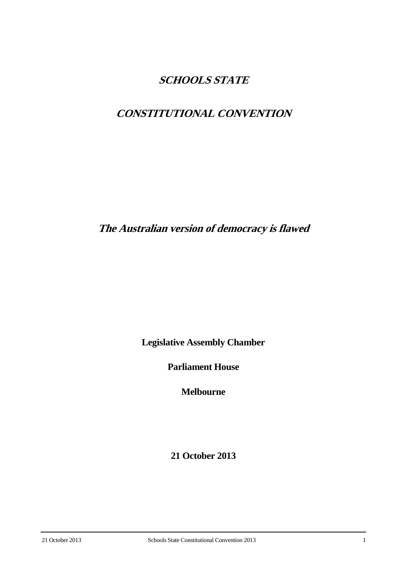# **SCHOOLS STATE**

# **CONSTITUTIONAL CONVENTION**

**The Australian version of democracy is flawed**

**Legislative Assembly Chamber**

**Parliament House**

**Melbourne**

**21 October 2013**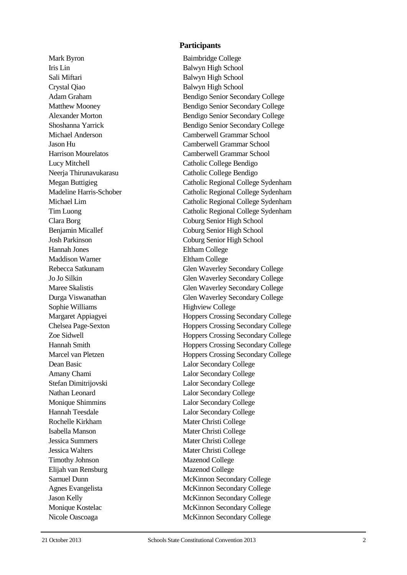Mark Byron Baimbridge College Iris Lin Balwyn High School Sali Miftari Balwyn High School Crystal Qiao Balwyn High School Hannah Jones Eltham College Maddison Warner Eltham College Sophie Williams Highview College Dean Basic Lalor Secondary College Amany Chami Lalor Secondary College Stefan Dimitrijovski Lalor Secondary College Nathan Leonard Lalor Secondary College Monique Shimmins Lalor Secondary College Hannah Teesdale Lalor Secondary College Rochelle Kirkham Mater Christi College Isabella Manson Mater Christi College Jessica Summers Mater Christi College Jessica Walters Mater Christi College Timothy Johnson Mazenod College Elijah van Rensburg Mazenod College

## **Participants**

Adam Graham Bendigo Senior Secondary College Matthew Mooney Bendigo Senior Secondary College Alexander Morton Bendigo Senior Secondary College Shoshanna Yarrick Bendigo Senior Secondary College Michael Anderson Camberwell Grammar School Jason Hu Camberwell Grammar School Harrison Mourelatos Camberwell Grammar School Lucy Mitchell Catholic College Bendigo Neerja Thirunavukarasu Catholic College Bendigo Megan Buttigieg Catholic Regional College Sydenham Madeline Harris-Schober Catholic Regional College Sydenham Michael Lim Catholic Regional College Sydenham Tim Luong Catholic Regional College Sydenham Clara Borg Coburg Senior High School Benjamin Micallef Coburg Senior High School Josh Parkinson Coburg Senior High School Rebecca Satkunam Glen Waverley Secondary College Jo Jo Silkin Glen Waverley Secondary College Maree Skalistis Glen Waverley Secondary College Durga Viswanathan Glen Waverley Secondary College Margaret Appiagyei **Hoppers Crossing Secondary College** Chelsea Page-Sexton Hoppers Crossing Secondary College Zoe Sidwell Hoppers Crossing Secondary College Hannah Smith Hoppers Crossing Secondary College Marcel van Pletzen Hoppers Crossing Secondary College Samuel Dunn McKinnon Secondary College Agnes Evangelista McKinnon Secondary College Jason Kelly McKinnon Secondary College Monique Kostelac McKinnon Secondary College Nicole Oascoaga McKinnon Secondary College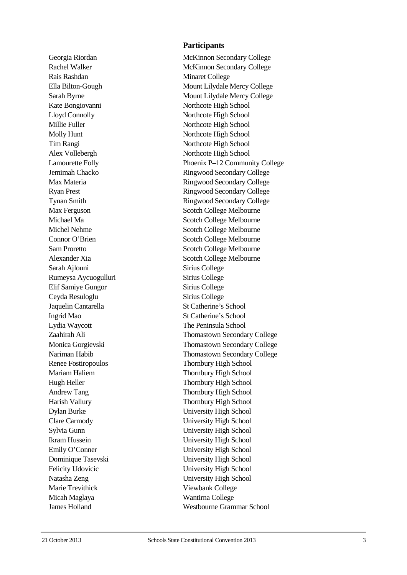Rais Rashdan Minaret College Ella Bilton Lamourette Folly Connor O'Brien Sarah Ajlouni Sirius College Rumeysa Aycuogulluri Sirius College Elif Samiye Gungor Sirius College Ceyda Resuloglu Sirius College Jaquelin Cantarella Ingrid Mao Lydia Waycott The Peninsula School Renee Fostiropo Emily O'Conner Marie Trevithick Viewbank College Micah Maglaya Wantirna College

# **Participants**

Georgia Riordan McKinnon Secondary College Rachel Walker McKinnon Secondary College Mount Lilydale Mercy College Sarah Byrne Mount Lilydale Mercy College Kate Bongiovanni Northcote High School Lloyd Connolly Northcote High School Millie Fuller Northcote High School Molly Hunt Northcote High School Tim Rangi Northcote High School Alex Vollebergh Northcote High School enix P –12 Community College Jemimah Chacko Ringwood Secondary College Max Materia **Ringwood Secondary College** Ryan Prest Ringwood Secondary College Tynan Smith Ringwood Secondary College Max Ferguson Scotch College Melbourne Michael Ma Scotch College Melbourne Michel Nehme Scotch College Melbourne Scotch College Melbourne Sam Proretto Scotch College Melbourne Alexander Xia Scotch College Melbourne St Catherine's School St Catherine's School Zaahirah Ali Thomastown Secondary College Monica Gorgievski Thomastown Secondary College Nariman Habib Thomastown Secondary College Thornbury High School Mariam Haliem Thornbury High School Hugh Heller Thornbury High School Andrew Tang Thornbury High School Harish Vallury Thornbury High School Dylan Burke University High School Clare Carmody University High School Sylvia Gunn University High School Ikram Hussein University High School University High School Dominique Tasevski University High School Felicity Udovicic University High School Natasha Zeng University High School James Holland Westbourne Grammar School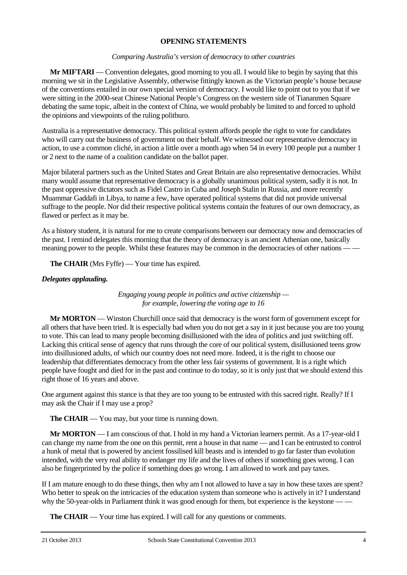## **OPENING STATEMENTS**

## *Comparing Australia's version of democracy to other countries*

**Mr MIFTARI** — Convention delegates, good morning to you all. I would like to begin by saying that this morning we sit in the Legislative Assembly, otherwise fittingly known as the Victorian people's house because of the conventions entailed in our own special version of democracy. I would like to point out to you that if we were sitting in the 2000-seat Chinese National People's Congress on the western side of Tiananmen Square debating the same topic, albeit in the context of China, we would probably be limited to and forced to uphold the opinions and viewpoints of the ruling politburo.

Australia is a representative democracy. This political system affords people the right to vote for candidates who will carry out the business of government on their behalf. We witnessed our representative democracy in action, to use a common cliché, in action a little over a month ago when 54 in every 100 people put a number 1 or 2 next to the name of a coalition candidate on the ballot paper.

Major bilateral partners such as the United States and Great Britain are also representative democracies. Whilst many would assume that representative democracy is a globally unanimous political system, sadly it is not. In the past oppressive dictators such as Fidel Castro in Cuba and Joseph Stalin in Russia, and more recently Muammar Gaddafi in Libya, to name a few, have operated political systems that did not provide universal suffrage to the people. Nor did their respective political systems contain the features of our own democracy, as flawed or perfect as it may be.

As a history student, it is natural for me to create comparisons between our democracy now and democracies of the past. I remind delegates this morning that the theory of democracy is an ancient Athenian one, basically meaning power to the people. Whilst these features may be common in the democracies of other nations — —

**The CHAIR** (Mrs Fyffe) — Your time has expired.

# *Delegates applauding.*

*Engaging young people in politics and active citizenship for example, lowering the voting age to 16*

**Mr MORTON** — Winston Churchill once said that democracy is the worst form of government except for all others that have been tried. It is especially bad when you do not get a say in it just because you are too young to vote. This can lead to many people becoming disillusioned with the idea of politics and just switching off. Lacking this critical sense of agency that runs through the core of our political system, disillusioned teens grow into disillusioned adults, of which our country does not need more. Indeed, it is the right to choose our leadership that differentiates democracy from the other less fair systems of government. It is a right which people have fought and died for in the past and continue to do today, so it is only just that we should extend this right those of 16 years and above.

One argument against this stance is that they are too young to be entrusted with this sacred right. Really? If I may ask the Chair if I may use a prop?

**The CHAIR** — You may, but your time is running down.

**Mr MORTON** — I am conscious of that. I hold in my hand a Victorian learners permit. As a 17-year-old I can change my name from the one on this permit, rent a house in that name — and I can be entrusted to control a hunk of metal that is powered by ancient fossilised kill beasts and is intended to go far faster than evolution intended, with the very real ability to endanger my life and the lives of others if something goes wrong. I can also be fingerprinted by the police if something does go wrong. I am allowed to work and pay taxes.

If I am mature enough to do these things, then why am I not allowed to have a say in how these taxes are spent? Who better to speak on the intricacies of the education system than someone who is actively in it? I understand why the 50-year-olds in Parliament think it was good enough for them, but experience is the keystone — —

**The CHAIR** — Your time has expired. I will call for any questions or comments.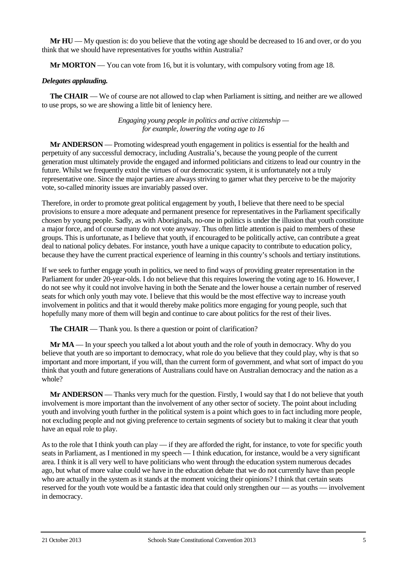**Mr HU** — My question is: do you believe that the voting age should be decreased to 16 and over, or do you think that we should have representatives for youths within Australia?

**Mr MORTON** — You can vote from 16, but it is voluntary, with compulsory voting from age 18.

## *Delegates applauding.*

**The CHAIR** — We of course are not allowed to clap when Parliament is sitting, and neither are we allowed to use props, so we are showing a little bit of leniency here.

> *Engaging young people in politics and active citizenship for example, lowering the voting age to 16*

**Mr ANDERSON** — Promoting widespread youth engagement in politics is essential for the health and perpetuity of any successful democracy, including Australia's, because the young people of the current generation must ultimately provide the engaged and informed politicians and citizens to lead our country in the future. Whilst we frequently extol the virtues of our democratic system, it is unfortunately not a truly representative one. Since the major parties are always striving to garner what they perceive to be the majority vote, so-called minority issues are invariably passed over.

Therefore, in order to promote great political engagement by youth, I believe that there need to be special provisions to ensure a more adequate and permanent presence for representatives in the Parliament specifically chosen by young people. Sadly, as with Aboriginals, no-one in politics is under the illusion that youth constitute a major force, and of course many do not vote anyway. Thus often little attention is paid to members of these groups. This is unfortunate, as I believe that youth, if encouraged to be politically active, can contribute a great deal to national policy debates. For instance, youth have a unique capacity to contribute to education policy, because they have the current practical experience of learning in this country's schools and tertiary institutions.

If we seek to further engage youth in politics, we need to find ways of providing greater representation in the Parliament for under 20-year-olds. I do not believe that this requires lowering the voting age to 16. However, I do not see why it could not involve having in both the Senate and the lower house a certain number of reserved seats for which only youth may vote. I believe that this would be the most effective way to increase youth involvement in politics and that it would thereby make politics more engaging for young people, such that hopefully many more of them will begin and continue to care about politics for the rest of their lives.

**The CHAIR** — Thank you. Is there a question or point of clarification?

**Mr MA** — In your speech you talked a lot about youth and the role of youth in democracy. Why do you believe that youth are so important to democracy, what role do you believe that they could play, why is that so important and more important, if you will, than the current form of government, and what sort of impact do you think that youth and future generations of Australians could have on Australian democracy and the nation as a whole?

**Mr ANDERSON** — Thanks very much for the question. Firstly, I would say that I do not believe that youth involvement is more important than the involvement of any other sector of society. The point about including youth and involving youth further in the political system is a point which goes to in fact including more people, not excluding people and not giving preference to certain segments of society but to making it clear that youth have an equal role to play.

As to the role that I think youth can play — if they are afforded the right, for instance, to vote for specific youth seats in Parliament, as I mentioned in my speech — I think education, for instance, would be a very significant area. I think it is all very well to have politicians who went through the education system numerous decades ago, but what of more value could we have in the education debate that we do not currently have than people who are actually in the system as it stands at the moment voicing their opinions? I think that certain seats reserved for the youth vote would be a fantastic idea that could only strengthen our — as youths — involvement in democracy.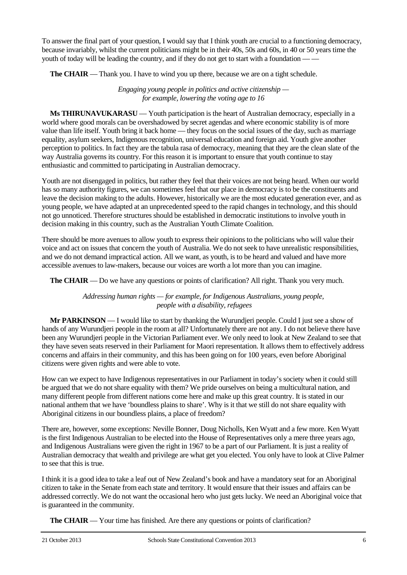To answer the final part of your question, I would say that I think youth are crucial to a functioning democracy, because invariably, whilst the current politicians might be in their 40s, 50s and 60s, in 40 or 50 years time the youth of today will be leading the country, and if they do not get to start with a foundation —

**The CHAIR** — Thank you. I have to wind you up there, because we are on a tight schedule.

*Engaging young people in politics and active citizenship for example, lowering the voting age to 16*

**Ms THIRUNAVUKARASU** — Youth participation is the heart of Australian democracy, especially in a world where good morals can be overshadowed by secret agendas and where economic stability is of more value than life itself. Youth bring it back home — they focus on the social issues of the day, such as marriage equality, asylum seekers, Indigenous recognition, universal education and foreign aid. Youth give another perception to politics. In fact they are the tabula rasa of democracy, meaning that they are the clean slate of the way Australia governs its country. For this reason it is important to ensure that youth continue to stay enthusiastic and committed to participating in Australian democracy.

Youth are not disengaged in politics, but rather they feel that their voices are not being heard. When our world has so many authority figures, we can sometimes feel that our place in democracy is to be the constituents and leave the decision making to the adults. However, historically we are the most educated generation ever, and as young people, we have adapted at an unprecedented speed to the rapid changes in technology, and this should not go unnoticed. Therefore structures should be established in democratic institutions to involve youth in decision making in this country, such as the Australian Youth Climate Coalition.

There should be more avenues to allow youth to express their opinions to the politicians who will value their voice and act on issues that concern the youth of Australia. We do not seek to have unrealistic responsibilities, and we do not demand impractical action. All we want, as youth, is to be heard and valued and have more accessible avenues to law-makers, because our voices are worth a lot more than you can imagine.

**The CHAIR** — Do we have any questions or points of clarification? All right. Thank you very much.

*Addressing human rights — for example, for Indigenous Australians, young people, people with a disability, refugees*

**Mr PARKINSON** — I would like to start by thanking the Wurundjeri people. Could I just see a show of hands of any Wurundjeri people in the room at all? Unfortunately there are not any. I do not believe there have been any Wurundjeri people in the Victorian Parliament ever. We only need to look at New Zealand to see that they have seven seats reserved in their Parliament for Maori representation. It allows them to effectively address concerns and affairs in their community, and this has been going on for 100 years, even before Aboriginal citizens were given rights and were able to vote.

How can we expect to have Indigenous representatives in our Parliament in today's society when it could still be argued that we do not share equality with them? We pride ourselves on being a multicultural nation, and many different people from different nations come here and make up this great country. It is stated in our national anthem that we have 'boundless plains to share'. Why is it that we still do not share equality with Aboriginal citizens in our boundless plains, a place of freedom?

There are, however, some exceptions: Neville Bonner, Doug Nicholls, Ken Wyatt and a few more. Ken Wyatt is the first Indigenous Australian to be elected into the House of Representatives only a mere three years ago, and Indigenous Australians were given the right in 1967 to be a part of our Parliament. It is just a reality of Australian democracy that wealth and privilege are what get you elected. You only have to look at Clive Palmer to see that this is true.

I think it is a good idea to take a leaf out of New Zealand's book and have a mandatory seat for an Aboriginal citizen to take in the Senate from each state and territory. It would ensure that their issues and affairs can be addressed correctly. We do not want the occasional hero who just gets lucky. We need an Aboriginal voice that is guaranteed in the community.

**The CHAIR** — Your time has finished. Are there any questions or points of clarification?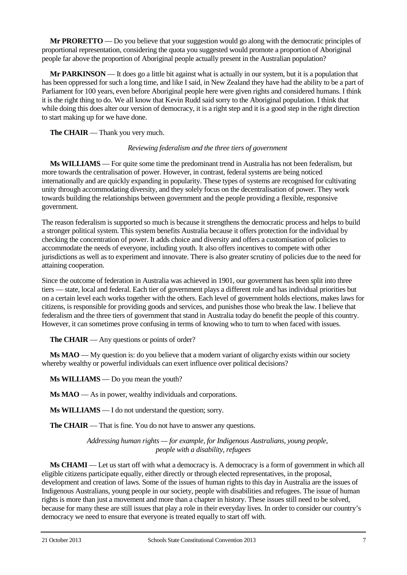**Mr PRORETTO** — Do you believe that your suggestion would go along with the democratic principles of proportional representation, considering the quota you suggested would promote a proportion of Aboriginal people far above the proportion of Aboriginal people actually present in the Australian population?

**Mr PARKINSON** — It does go a little bit against what is actually in our system, but it is a population that has been oppressed for such a long time, and like I said, in New Zealand they have had the ability to be a part of Parliament for 100 years, even before Aboriginal people here were given rights and considered humans. I think it is the right thing to do. We all know that Kevin Rudd said sorry to the Aboriginal population. I think that while doing this does alter our version of democracy, it is a right step and it is a good step in the right direction to start making up for we have done.

**The CHAIR** — Thank you very much.

# *Reviewing federalism and the three tiers of government*

**Ms WILLIAMS** — For quite some time the predominant trend in Australia has not been federalism, but more towards the centralisation of power. However, in contrast, federal systems are being noticed internationally and are quickly expanding in popularity. These types of systems are recognised for cultivating unity through accommodating diversity, and they solely focus on the decentralisation of power. They work towards building the relationships between government and the people providing a flexible, responsive government.

The reason federalism is supported so much is because it strengthens the democratic process and helps to build a stronger political system. This system benefits Australia because it offers protection for the individual by checking the concentration of power. It adds choice and diversity and offers a customisation of policies to accommodate the needs of everyone, including youth. It also offers incentives to compete with other jurisdictions as well as to experiment and innovate. There is also greater scrutiny of policies due to the need for attaining cooperation.

Since the outcome of federation in Australia was achieved in 1901, our government has been split into three tiers — state, local and federal. Each tier of government plays a different role and has individual priorities but on a certain level each works together with the others. Each level of government holds elections, makes laws for citizens, is responsible for providing goods and services, and punishes those who break the law. I believe that federalism and the three tiers of government that stand in Australia today do benefit the people of this country. However, it can sometimes prove confusing in terms of knowing who to turn to when faced with issues.

**The CHAIR** — Any questions or points of order?

**Ms MAO** — My question is: do you believe that a modern variant of oligarchy exists within our society whereby wealthy or powerful individuals can exert influence over political decisions?

**Ms WILLIAMS** — Do you mean the youth?

**Ms MAO** — As in power, wealthy individuals and corporations.

**Ms WILLIAMS** — I do not understand the question; sorry.

**The CHAIR** — That is fine. You do not have to answer any questions.

*Addressing human rights — for example, for Indigenous Australians, young people, people with a disability, refugees*

**Ms CHAMI** — Let us start off with what a democracy is. A democracy is a form of government in which all eligible citizens participate equally, either directly or through elected representatives, in the proposal, development and creation of laws. Some of the issues of human rights to this day in Australia are the issues of Indigenous Australians, young people in our society, people with disabilities and refugees. The issue of human rights is more than just a movement and more than a chapter in history. These issues still need to be solved, because for many these are still issues that play a role in their everyday lives. In order to consider our country's democracy we need to ensure that everyone is treated equally to start off with.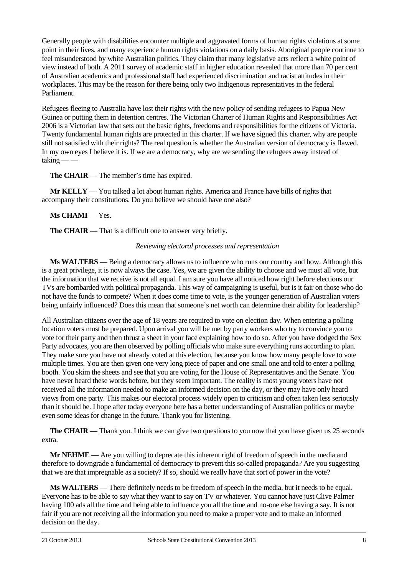Generally people with disabilities encounter multiple and aggravated forms of human rights violations at some point in their lives, and many experience human rights violations on a daily basis. Aboriginal people continue to feel misunderstood by white Australian politics. They claim that many legislative acts reflect a white point of view instead of both. A 2011 survey of academic staff in higher education revealed that more than 70 per cent of Australian academics and professional staff had experienced discrimination and racist attitudes in their workplaces. This may be the reason for there being only two Indigenous representatives in the federal Parliament.

Refugees fleeing to Australia have lost their rights with the new policy of sending refugees to Papua New Guinea or putting them in detention centres. The Victorian Charter of Human Rights and Responsibilities Act 2006 is a Victorian law that sets out the basic rights, freedoms and responsibilities for the citizens of Victoria. Twenty fundamental human rights are protected in this charter. If we have signed this charter, why are people still not satisfied with their rights? The real question is whether the Australian version of democracy is flawed. In my own eyes I believe it is. If we are a democracy, why are we sending the refugees away instead of  $\text{taking}$  — –

**The CHAIR** — The member's time has expired.

**Mr KELLY** — You talked a lot about human rights. America and France have bills of rights that accompany their constitutions. Do you believe we should have one also?

# **Ms CHAMI** — Yes.

**The CHAIR** — That is a difficult one to answer very briefly.

## *Reviewing electoral processes and representation*

**Ms WALTERS** — Being a democracy allows us to influence who runs our country and how. Although this is a great privilege, it is now always the case. Yes, we are given the ability to choose and we must all vote, but the information that we receive is not all equal. I am sure you have all noticed how right before elections our TVs are bombarded with political propaganda. This way of campaigning is useful, but is it fair on those who do not have the funds to compete? When it does come time to vote, is the younger generation of Australian voters being unfairly influenced? Does this mean that someone's net worth can determine their ability for leadership?

All Australian citizens over the age of 18 years are required to vote on election day. When entering a polling location voters must be prepared. Upon arrival you will be met by party workers who try to convince you to vote for their party and then thrust a sheet in your face explaining how to do so. After you have dodged the Sex Party advocates, you are then observed by polling officials who make sure everything runs according to plan. They make sure you have not already voted at this election, because you know how many people love to vote multiple times. You are then given one very long piece of paper and one small one and told to enter a polling booth. You skim the sheets and see that you are voting for the House of Representatives and the Senate. You have never heard these words before, but they seem important. The reality is most young voters have not received all the information needed to make an informed decision on the day, or they may have only heard views from one party. This makes our electoral process widely open to criticism and often taken less seriously than it should be. I hope after today everyone here has a better understanding of Australian politics or maybe even some ideas for change in the future. Thank you for listening.

**The CHAIR** — Thank you. I think we can give two questions to you now that you have given us 25 seconds extra.

**Mr NEHME** — Are you willing to deprecate this inherent right of freedom of speech in the media and therefore to downgrade a fundamental of democracy to prevent this so-called propaganda? Are you suggesting that we are that impregnable as a society? If so, should we really have that sort of power in the vote?

**Ms WALTERS** — There definitely needs to be freedom of speech in the media, but it needs to be equal. Everyone has to be able to say what they want to say on TV or whatever. You cannot have just Clive Palmer having 100 ads all the time and being able to influence you all the time and no-one else having a say. It is not fair if you are not receiving all the information you need to make a proper vote and to make an informed decision on the day.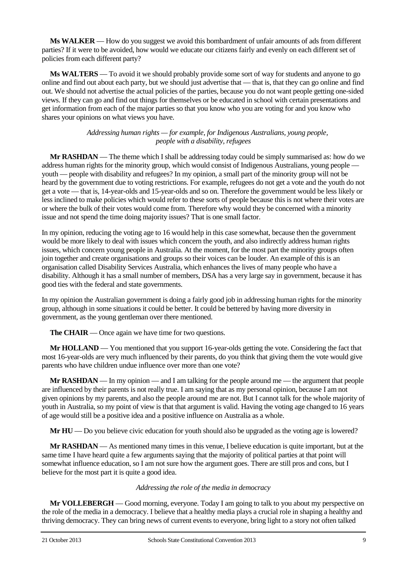**Ms WALKER** — How do you suggest we avoid this bombardment of unfair amounts of ads from different parties? If it were to be avoided, how would we educate our citizens fairly and evenly on each different set of policies from each different party?

**Ms WALTERS** — To avoid it we should probably provide some sort of way for students and anyone to go online and find out about each party, but we should just advertise that — that is, that they can go online and find out. We should not advertise the actual policies of the parties, because you do not want people getting one-sided views. If they can go and find out things for themselves or be educated in school with certain presentations and get information from each of the major parties so that you know who you are voting for and you know who shares your opinions on what views you have.

## *Addressing human rights — for example, for Indigenous Australians, young people, people with a disability, refugees*

**Mr RASHDAN** — The theme which I shall be addressing today could be simply summarised as: how do we address human rights for the minority group, which would consist of Indigenous Australians, young people youth — people with disability and refugees? In my opinion, a small part of the minority group will not be heard by the government due to voting restrictions. For example, refugees do not get a vote and the youth do not get a vote — that is, 14-year-olds and 15-year-olds and so on. Therefore the government would be less likely or less inclined to make policies which would refer to these sorts of people because this is not where their votes are or where the bulk of their votes would come from. Therefore why would they be concerned with a minority issue and not spend the time doing majority issues? That is one small factor.

In my opinion, reducing the voting age to 16 would help in this case somewhat, because then the government would be more likely to deal with issues which concern the youth, and also indirectly address human rights issues, which concern young people in Australia. At the moment, for the most part the minority groups often join together and create organisations and groups so their voices can be louder. An example of this is an organisation called Disability Services Australia, which enhances the lives of many people who have a disability. Although it has a small number of members, DSA has a very large say in government, because it has good ties with the federal and state governments.

In my opinion the Australian government is doing a fairly good job in addressing human rights for the minority group, although in some situations it could be better. It could be bettered by having more diversity in government, as the young gentleman over there mentioned.

**The CHAIR** — Once again we have time for two questions.

**Mr HOLLAND** — You mentioned that you support 16-year-olds getting the vote. Considering the fact that most 16-year-olds are very much influenced by their parents, do you think that giving them the vote would give parents who have children undue influence over more than one vote?

**Mr RASHDAN** — In my opinion — and I am talking for the people around me — the argument that people are influenced by their parents is not really true. I am saying that as my personal opinion, because I am not given opinions by my parents, and also the people around me are not. But I cannot talk for the whole majority of youth in Australia, so my point of view is that that argument is valid. Having the voting age changed to 16 years of age would still be a positive idea and a positive influence on Australia as a whole.

**Mr HU** — Do you believe civic education for youth should also be upgraded as the voting age is lowered?

**Mr RASHDAN** — As mentioned many times in this venue, I believe education is quite important, but at the same time I have heard quite a few arguments saying that the majority of political parties at that point will somewhat influence education, so I am not sure how the argument goes. There are still pros and cons, but I believe for the most part it is quite a good idea.

## *Addressing the role of the media in democracy*

**Mr VOLLEBERGH** — Good morning, everyone. Today I am going to talk to you about my perspective on the role of the media in a democracy. I believe that a healthy media plays a crucial role in shaping a healthy and thriving democracy. They can bring news of current events to everyone, bring light to a story not often talked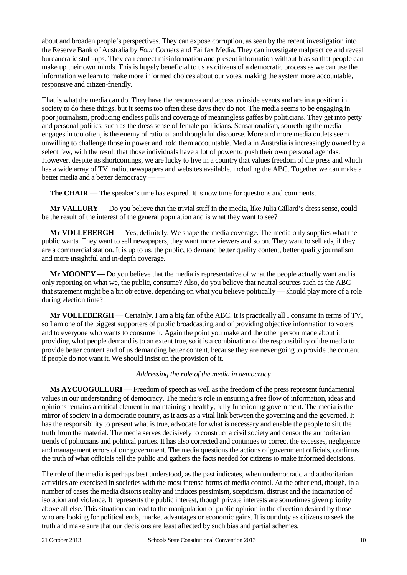about and broaden people's perspectives. They can expose corruption, as seen by the recent investigation into the Reserve Bank of Australia by *Four Corners* and Fairfax Media. They can investigate malpractice and reveal bureaucratic stuff-ups. They can correct misinformation and present information without bias so that people can make up their own minds. This is hugely beneficial to us as citizens of a democratic process as we can use the information we learn to make more informed choices about our votes, making the system more accountable, responsive and citizen-friendly.

That is what the media can do. They have the resources and access to inside events and are in a position in society to do these things, but it seems too often these days they do not. The media seems to be engaging in poor journalism, producing endless polls and coverage of meaningless gaffes by politicians. They get into petty and personal politics, such as the dress sense of female politicians. Sensationalism, something the media engages in too often, is the enemy of rational and thoughtful discourse. More and more media outlets seem unwilling to challenge those in power and hold them accountable. Media in Australia is increasingly owned by a select few, with the result that those individuals have a lot of power to push their own personal agendas. However, despite its shortcomings, we are lucky to live in a country that values freedom of the press and which has a wide array of TV, radio, newspapers and websites available, including the ABC. Together we can make a better media and a better democracy -

**The CHAIR** — The speaker's time has expired. It is now time for questions and comments.

**Mr VALLURY** — Do you believe that the trivial stuff in the media, like Julia Gillard's dress sense, could be the result of the interest of the general population and is what they want to see?

**Mr VOLLEBERGH** — Yes, definitely. We shape the media coverage. The media only supplies what the public wants. They want to sell newspapers, they want more viewers and so on. They want to sell ads, if they are a commercial station. It is up to us, the public, to demand better quality content, better quality journalism and more insightful and in-depth coverage.

**Mr MOONEY** — Do you believe that the media is representative of what the people actually want and is only reporting on what we, the public, consume? Also, do you believe that neutral sources such as the ABC that statement might be a bit objective, depending on what you believe politically — should play more of a role during election time?

**Mr VOLLEBERGH** — Certainly. I am a big fan of the ABC. It is practically all I consume in terms of TV, so I am one of the biggest supporters of public broadcasting and of providing objective information to voters and to everyone who wants to consume it. Again the point you make and the other person made about it providing what people demand is to an extent true, so it is a combination of the responsibility of the media to provide better content and of us demanding better content, because they are never going to provide the content if people do not want it. We should insist on the provision of it.

## *Addressing the role of the media in democracy*

**Ms AYCUOGULLURI** — Freedom of speech as well as the freedom of the press represent fundamental values in our understanding of democracy. The media's role in ensuring a free flow of information, ideas and opinions remains a critical element in maintaining a healthy, fully functioning government. The media is the mirror of society in a democratic country, as it acts as a vital link between the governing and the governed. It has the responsibility to present what is true, advocate for what is necessary and enable the people to sift the truth from the material. The media serves decisively to construct a civil society and censor the authoritarian trends of politicians and political parties. It has also corrected and continues to correct the excesses, negligence and management errors of our government. The media questions the actions of government officials, confirms the truth of what officials tell the public and gathers the facts needed for citizens to make informed decisions.

The role of the media is perhaps best understood, as the past indicates, when undemocratic and authoritarian activities are exercised in societies with the most intense forms of media control. At the other end, though, in a number of cases the media distorts reality and induces pessimism, scepticism, distrust and the incarnation of isolation and violence. It represents the public interest, though private interests are sometimes given priority above all else. This situation can lead to the manipulation of public opinion in the direction desired by those who are looking for political ends, market advantages or economic gains. It is our duty as citizens to seek the truth and make sure that our decisions are least affected by such bias and partial schemes.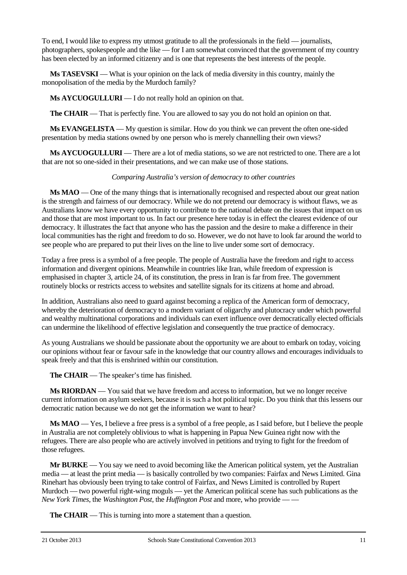To end, I would like to express my utmost gratitude to all the professionals in the field — journalists, photographers, spokespeople and the like — for I am somewhat convinced that the government of my country has been elected by an informed citizenry and is one that represents the best interests of the people.

**Ms TASEVSKI** — What is your opinion on the lack of media diversity in this country, mainly the monopolisation of the media by the Murdoch family?

**Ms AYCUOGULLURI** — I do not really hold an opinion on that.

**The CHAIR** — That is perfectly fine. You are allowed to say you do not hold an opinion on that.

**Ms EVANGELISTA** — My question is similar. How do you think we can prevent the often one-sided presentation by media stations owned by one person who is merely channelling their own views?

**Ms AYCUOGULLURI** — There are a lot of media stations, so we are not restricted to one. There are a lot that are not so one-sided in their presentations, and we can make use of those stations.

## *Comparing Australia's version of democracy to other countries*

**Ms MAO** — One of the many things that is internationally recognised and respected about our great nation is the strength and fairness of our democracy. While we do not pretend our democracy is without flaws, we as Australians know we have every opportunity to contribute to the national debate on the issues that impact on us and those that are most important to us. In fact our presence here today is in effect the clearest evidence of our democracy. It illustrates the fact that anyone who has the passion and the desire to make a difference in their local communities has the right and freedom to do so. However, we do not have to look far around the world to see people who are prepared to put their lives on the line to live under some sort of democracy.

Today a free press is a symbol of a free people. The people of Australia have the freedom and right to access information and divergent opinions. Meanwhile in countries like Iran, while freedom of expression is emphasised in chapter 3, article 24, of its constitution, the press in Iran is far from free. The government routinely blocks or restricts access to websites and satellite signals for its citizens at home and abroad.

In addition, Australians also need to guard against becoming a replica of the American form of democracy, whereby the deterioration of democracy to a modern variant of oligarchy and plutocracy under which powerful and wealthy multinational corporations and individuals can exert influence over democratically elected officials can undermine the likelihood of effective legislation and consequently the true practice of democracy.

As young Australians we should be passionate about the opportunity we are about to embark on today, voicing our opinions without fear or favour safe in the knowledge that our country allows and encourages individuals to speak freely and that this is enshrined within our constitution.

**The CHAIR** — The speaker's time has finished.

**Ms RIORDAN** — You said that we have freedom and access to information, but we no longer receive current information on asylum seekers, because it is such a hot political topic. Do you think that this lessens our democratic nation because we do not get the information we want to hear?

**Ms MAO** — Yes, I believe a free press is a symbol of a free people, as I said before, but I believe the people in Australia are not completely oblivious to what is happening in Papua New Guinea right now with the refugees. There are also people who are actively involved in petitions and trying to fight for the freedom of those refugees.

**Mr BURKE** — You say we need to avoid becoming like the American political system, yet the Australian media — at least the print media — is basically controlled by two companies: Fairfax and News Limited. Gina Rinehart has obviously been trying to take control of Fairfax, and News Limited is controlled by Rupert Murdoch — two powerful right-wing moguls — yet the American political scene has such publications as the *New York Times, the Washington Post, the <i>Huffington Post* and more, who provide -

**The CHAIR** — This is turning into more a statement than a question.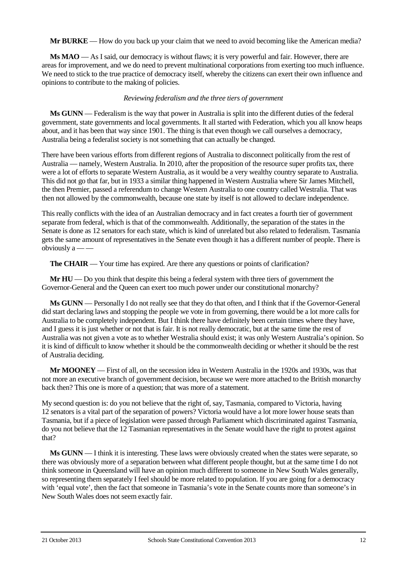**Mr BURKE** — How do you back up your claim that we need to avoid becoming like the American media?

**Ms MAO** — As I said, our democracy is without flaws; it is very powerful and fair. However, there are areas for improvement, and we do need to prevent multinational corporations from exerting too much influence. We need to stick to the true practice of democracy itself, whereby the citizens can exert their own influence and opinions to contribute to the making of policies.

## *Reviewing federalism and the three tiers of government*

**Ms GUNN** — Federalism is the way that power in Australia is split into the different duties of the federal government, state governments and local governments. It all started with Federation, which you all know heaps about, and it has been that way since 1901. The thing is that even though we call ourselves a democracy, Australia being a federalist society is not something that can actually be changed.

There have been various efforts from different regions of Australia to disconnect politically from the rest of Australia — namely, Western Australia. In 2010, after the proposition of the resource super profits tax, there were a lot of efforts to separate Western Australia, as it would be a very wealthy country separate to Australia. This did not go that far, but in 1933 a similar thing happened in Western Australia where Sir James Mitchell, the then Premier, passed a referendum to change Western Australia to one country called Westralia. That was then not allowed by the commonwealth, because one state by itself is not allowed to declare independence.

This really conflicts with the idea of an Australian democracy and in fact creates a fourth tier of government separate from federal, which is that of the commonwealth. Additionally, the separation of the states in the Senate is done as 12 senators for each state, which is kind of unrelated but also related to federalism. Tasmania gets the same amount of representatives in the Senate even though it has a different number of people. There is obviously a — —

**The CHAIR** — Your time has expired. Are there any questions or points of clarification?

**Mr HU** — Do you think that despite this being a federal system with three tiers of government the Governor-General and the Queen can exert too much power under our constitutional monarchy?

**Ms GUNN** — Personally I do not really see that they do that often, and I think that if the Governor-General did start declaring laws and stopping the people we vote in from governing, there would be a lot more calls for Australia to be completely independent. But I think there have definitely been certain times where they have, and I guess it is just whether or not that is fair. It is not really democratic, but at the same time the rest of Australia was not given a vote as to whether Westralia should exist; it was only Western Australia's opinion. So it is kind of difficult to know whether it should be the commonwealth deciding or whether it should be the rest of Australia deciding.

**Mr MOONEY** — First of all, on the secession idea in Western Australia in the 1920s and 1930s, was that not more an executive branch of government decision, because we were more attached to the British monarchy back then? This one is more of a question; that was more of a statement.

My second question is: do you not believe that the right of, say, Tasmania, compared to Victoria, having 12 senators is a vital part of the separation of powers? Victoria would have a lot more lower house seats than Tasmania, but if a piece of legislation were passed through Parliament which discriminated against Tasmania, do you not believe that the 12 Tasmanian representatives in the Senate would have the right to protest against that?

**Ms GUNN** — I think it is interesting. These laws were obviously created when the states were separate, so there was obviously more of a separation between what different people thought, but at the same time I do not think someone in Queensland will have an opinion much different to someone in New South Wales generally, so representing them separately I feel should be more related to population. If you are going for a democracy with 'equal vote', then the fact that someone in Tasmania's vote in the Senate counts more than someone's in New South Wales does not seem exactly fair.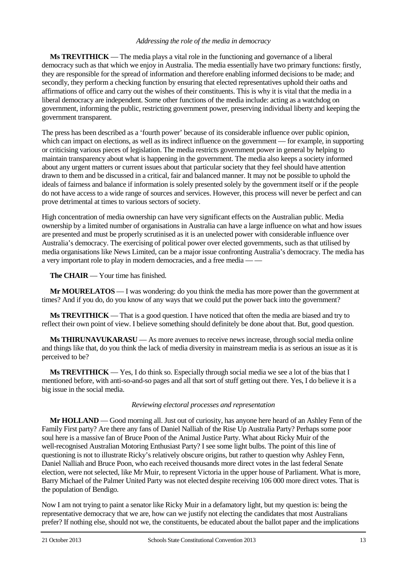## *Addressing the role of the media in democracy*

**Ms TREVITHICK** — The media plays a vital role in the functioning and governance of a liberal democracy such as that which we enjoy in Australia. The media essentially have two primary functions: firstly, they are responsible for the spread of information and therefore enabling informed decisions to be made; and secondly, they perform a checking function by ensuring that elected representatives uphold their oaths and affirmations of office and carry out the wishes of their constituents. This is why it is vital that the media in a liberal democracy are independent. Some other functions of the media include: acting as a watchdog on government, informing the public, restricting government power, preserving individual liberty and keeping the government transparent.

The press has been described as a 'fourth power' because of its considerable influence over public opinion, which can impact on elections, as well as its indirect influence on the government — for example, in supporting or criticising various pieces of legislation. The media restricts government power in general by helping to maintain transparency about what is happening in the government. The media also keeps a society informed about any urgent matters or current issues about that particular society that they feel should have attention drawn to them and be discussed in a critical, fair and balanced manner. It may not be possible to uphold the ideals of fairness and balance if information is solely presented solely by the government itself or if the people do not have access to a wide range of sources and services. However, this process will never be perfect and can prove detrimental at times to various sectors of society.

High concentration of media ownership can have very significant effects on the Australian public. Media ownership by a limited number of organisations in Australia can have a large influence on what and how issues are presented and must be properly scrutinised as it is an unelected power with considerable influence over Australia's democracy. The exercising of political power over elected governments, such as that utilised by media organisations like News Limited, can be a major issue confronting Australia's democracy. The media has a very important role to play in modern democracies, and a free media — —

**The CHAIR** — Your time has finished.

**Mr MOURELATOS** — I was wondering: do you think the media has more power than the government at times? And if you do, do you know of any ways that we could put the power back into the government?

**Ms TREVITHICK** — That is a good question. I have noticed that often the media are biased and try to reflect their own point of view. I believe something should definitely be done about that. But, good question.

**Ms THIRUNAVUKARASU** — As more avenues to receive news increase, through social media online and things like that, do you think the lack of media diversity in mainstream media is as serious an issue as it is perceived to be?

**Ms TREVITHICK** — Yes, I do think so. Especially through social media we see a lot of the bias that I mentioned before, with anti-so-and-so pages and all that sort of stuff getting out there. Yes, I do believe it is a big issue in the social media.

## *Reviewing electoral processes and representation*

**Mr HOLLAND** — Good morning all. Just out of curiosity, has anyone here heard of an Ashley Fenn of the Family First party? Are there any fans of Daniel Nalliah of the Rise Up Australia Party? Perhaps some poor soul here is a massive fan of Bruce Poon of the Animal Justice Party. What about Ricky Muir of the well-recognised Australian Motoring Enthusiast Party? I see some light bulbs. The point of this line of questioning is not to illustrate Ricky's relatively obscure origins, but rather to question why Ashley Fenn, Daniel Nalliah and Bruce Poon, who each received thousands more direct votes in the last federal Senate election, were not selected, like Mr Muir, to represent Victoria in the upper house of Parliament. What is more, Barry Michael of the Palmer United Party was not elected despite receiving 106 000 more direct votes. That is the population of Bendigo.

Now I am not trying to paint a senator like Ricky Muir in a defamatory light, but my question is: being the representative democracy that we are, how can we justify not electing the candidates that most Australians prefer? If nothing else, should not we, the constituents, be educated about the ballot paper and the implications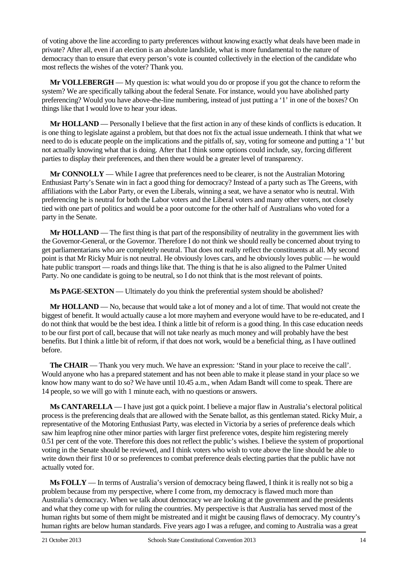of voting above the line according to party preferences without knowing exactly what deals have been made in private? After all, even if an election is an absolute landslide, what is more fundamental to the nature of democracy than to ensure that every person's vote is counted collectively in the election of the candidate who most reflects the wishes of the voter? Thank you.

**Mr VOLLEBERGH** — My question is: what would you do or propose if you got the chance to reform the system? We are specifically talking about the federal Senate. For instance, would you have abolished party preferencing? Would you have above-the-line numbering, instead of just putting a '1' in one of the boxes? On things like that I would love to hear your ideas.

**Mr HOLLAND** — Personally I believe that the first action in any of these kinds of conflicts is education. It is one thing to legislate against a problem, but that does not fix the actual issue underneath. I think that what we need to do is educate people on the implications and the pitfalls of, say, voting for someone and putting a '1' but not actually knowing what that is doing. After that I think some options could include, say, forcing different parties to display their preferences, and then there would be a greater level of transparency.

**Mr CONNOLLY** — While I agree that preferences need to be clearer, is not the Australian Motoring Enthusiast Party's Senate win in fact a good thing for democracy? Instead of a party such as The Greens, with affiliations with the Labor Party, or even the Liberals, winning a seat, we have a senator who is neutral. With preferencing he is neutral for both the Labor voters and the Liberal voters and many other voters, not closely tied with one part of politics and would be a poor outcome for the other half of Australians who voted for a party in the Senate.

**Mr HOLLAND** — The first thing is that part of the responsibility of neutrality in the government lies with the Governor-General, or the Governor. Therefore I do not think we should really be concerned about trying to get parliamentarians who are completely neutral. That does not really reflect the constituents at all. My second point is that Mr Ricky Muir is not neutral. He obviously loves cars, and he obviously loves public — he would hate public transport — roads and things like that. The thing is that he is also aligned to the Palmer United Party. No one candidate is going to be neutral, so I do not think that is the most relevant of points.

**Ms PAGE-SEXTON** — Ultimately do you think the preferential system should be abolished?

**Mr HOLLAND** — No, because that would take a lot of money and a lot of time. That would not create the biggest of benefit. It would actually cause a lot more mayhem and everyone would have to be re-educated, and I do not think that would be the best idea. I think a little bit of reform is a good thing. In this case education needs to be our first port of call, because that will not take nearly as much money and will probably have the best benefits. But I think a little bit of reform, if that does not work, would be a beneficial thing, as I have outlined before.

**The CHAIR** — Thank you very much. We have an expression: 'Stand in your place to receive the call'. Would anyone who has a prepared statement and has not been able to make it please stand in your place so we know how many want to do so? We have until 10.45 a.m., when Adam Bandt will come to speak. There are 14 people, so we will go with 1 minute each, with no questions or answers.

**Ms CANTARELLA** — I have just got a quick point. I believe a major flaw in Australia's electoral political process is the preferencing deals that are allowed with the Senate ballot, as this gentleman stated. Ricky Muir, a representative of the Motoring Enthusiast Party, was elected in Victoria by a series of preference deals which saw him leapfrog nine other minor parties with larger first preference votes, despite him registering merely 0.51 per cent of the vote. Therefore this does not reflect the public's wishes. I believe the system of proportional voting in the Senate should be reviewed, and I think voters who wish to vote above the line should be able to write down their first 10 or so preferences to combat preference deals electing parties that the public have not actually voted for.

**Ms FOLLY** — In terms of Australia's version of democracy being flawed, I think it is really not so big a problem because from my perspective, where I come from, my democracy is flawed much more than Australia's democracy. When we talk about democracy we are looking at the government and the presidents and what they come up with for ruling the countries. My perspective is that Australia has served most of the human rights but some of them might be mistreated and it might be causing flaws of democracy. My country's human rights are below human standards. Five years ago I was a refugee, and coming to Australia was a great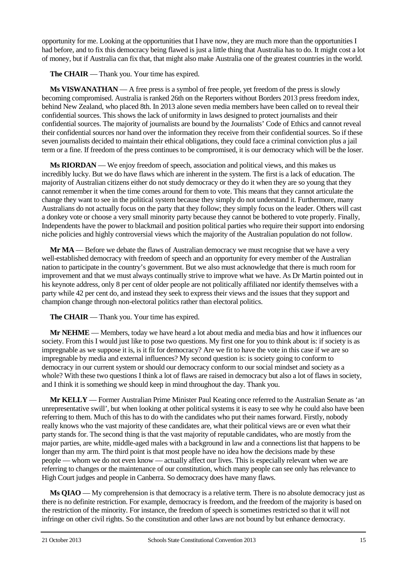opportunity for me. Looking at the opportunities that I have now, they are much more than the opportunities I had before, and to fix this democracy being flawed is just a little thing that Australia has to do. It might cost a lot of money, but if Australia can fix that, that might also make Australia one of the greatest countries in the world.

**The CHAIR** — Thank you. Your time has expired.

**Ms VISWANATHAN** — A free press is a symbol of free people, yet freedom of the press is slowly becoming compromised. Australia is ranked 26th on the Reporters without Borders 2013 press freedom index, behind New Zealand, who placed 8th. In 2013 alone seven media members have been called on to reveal their confidential sources. This shows the lack of uniformity in laws designed to protect journalists and their confidential sources. The majority of journalists are bound by the Journalists' Code of Ethics and cannot reveal their confidential sources nor hand over the information they receive from their confidential sources. So if these seven journalists decided to maintain their ethical obligations, they could face a criminal conviction plus a jail term or a fine. If freedom of the press continues to be compromised, it is our democracy which will be the loser.

**Ms RIORDAN** — We enjoy freedom of speech, association and political views, and this makes us incredibly lucky. But we do have flaws which are inherent in the system. The first is a lack of education. The majority of Australian citizens either do not study democracy or they do it when they are so young that they cannot remember it when the time comes around for them to vote. This means that they cannot articulate the change they want to see in the political system because they simply do not understand it. Furthermore, many Australians do not actually focus on the party that they follow; they simply focus on the leader. Others will cast a donkey vote or choose a very small minority party because they cannot be bothered to vote properly. Finally, Independents have the power to blackmail and position political parties who require their support into endorsing niche policies and highly controversial views which the majority of the Australian population do not follow.

**Mr MA** — Before we debate the flaws of Australian democracy we must recognise that we have a very well-established democracy with freedom of speech and an opportunity for every member of the Australian nation to participate in the country's government. But we also must acknowledge that there is much room for improvement and that we must always continually strive to improve what we have. As Dr Martin pointed out in his keynote address, only 8 per cent of older people are not politically affiliated nor identify themselves with a party while 42 per cent do, and instead they seek to express their views and the issues that they support and champion change through non-electoral politics rather than electoral politics.

**The CHAIR** — Thank you. Your time has expired.

**Mr NEHME** — Members, today we have heard a lot about media and media bias and how it influences our society. From this I would just like to pose two questions. My first one for you to think about is: if society is as impregnable as we suppose it is, is it fit for democracy? Are we fit to have the vote in this case if we are so impregnable by media and external influences? My second question is: is society going to conform to democracy in our current system or should our democracy conform to our social mindset and society as a whole? With these two questions I think a lot of flaws are raised in democracy but also a lot of flaws in society, and I think it is something we should keep in mind throughout the day. Thank you.

**Mr KELLY** — Former Australian Prime Minister Paul Keating once referred to the Australian Senate as 'an unrepresentative swill', but when looking at other political systems it is easy to see why he could also have been referring to them. Much of this has to do with the candidates who put their names forward. Firstly, nobody really knows who the vast majority of these candidates are, what their political views are or even what their party stands for. The second thing is that the vast majority of reputable candidates, who are mostly from the major parties, are white, middle-aged males with a background in law and a connections list that happens to be longer than my arm. The third point is that most people have no idea how the decisions made by these people — whom we do not even know — actually affect our lives. This is especially relevant when we are referring to changes or the maintenance of our constitution, which many people can see only has relevance to High Court judges and people in Canberra. So democracy does have many flaws.

**Ms QIAO** — My comprehension is that democracy is a relative term. There is no absolute democracy just as there is no definite restriction. For example, democracy is freedom, and the freedom of the majority is based on the restriction of the minority. For instance, the freedom of speech is sometimes restricted so that it will not infringe on other civil rights. So the constitution and other laws are not bound by but enhance democracy.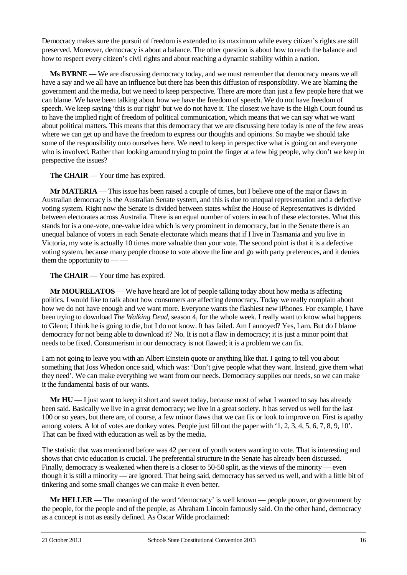Democracy makes sure the pursuit of freedom is extended to its maximum while every citizen's rights are still preserved. Moreover, democracy is about a balance. The other question is about how to reach the balance and how to respect every citizen's civil rights and about reaching a dynamic stability within a nation.

**Ms BYRNE** — We are discussing democracy today, and we must remember that democracy means we all have a say and we all have an influence but there has been this diffusion of responsibility. We are blaming the government and the media, but we need to keep perspective. There are more than just a few people here that we can blame. We have been talking about how we have the freedom of speech. We do not have freedom of speech. We keep saying 'this is our right' but we do not have it. The closest we have is the High Court found us to have the implied right of freedom of political communication, which means that we can say what we want about political matters. This means that this democracy that we are discussing here today is one of the few areas where we can get up and have the freedom to express our thoughts and opinions. So maybe we should take some of the responsibility onto ourselves here. We need to keep in perspective what is going on and everyone who is involved. Rather than looking around trying to point the finger at a few big people, why don't we keep in perspective the issues?

**The CHAIR** — Your time has expired.

**Mr MATERIA** — This issue has been raised a couple of times, but I believe one of the major flaws in Australian democracy is the Australian Senate system, and this is due to unequal representation and a defective voting system. Right now the Senate is divided between states whilst the House of Representatives is divided between electorates across Australia. There is an equal number of voters in each of these electorates. What this stands for is a one-vote, one-value idea which is very prominent in democracy, but in the Senate there is an unequal balance of voters in each Senate electorate which means that if I live in Tasmania and you live in Victoria, my vote is actually 10 times more valuable than your vote. The second point is that it is a defective voting system, because many people choose to vote above the line and go with party preferences, and it denies them the opportunity to — —

**The CHAIR** — Your time has expired.

**Mr MOURELATOS** — We have heard are lot of people talking today about how media is affecting politics. I would like to talk about how consumers are affecting democracy. Today we really complain about how we do not have enough and we want more. Everyone wants the flashiest new iPhones. For example, I have been trying to download *The Walking Dead*, season 4, for the whole week. I really want to know what happens to Glenn; I think he is going to die, but I do not know. It has failed. Am I annoyed? Yes, I am. But do I blame democracy for not being able to download it? No. It is not a flaw in democracy; it is just a minor point that needs to be fixed. Consumerism in our democracy is not flawed; it is a problem we can fix.

I am not going to leave you with an Albert Einstein quote or anything like that. I going to tell you about something that Joss Whedon once said, which was: 'Don't give people what they want. Instead, give them what they need'. We can make everything we want from our needs. Democracy supplies our needs, so we can make it the fundamental basis of our wants.

**Mr HU** — I just want to keep it short and sweet today, because most of what I wanted to say has already been said. Basically we live in a great democracy; we live in a great society. It has served us well for the last 100 or so years, but there are, of course, a few minor flaws that we can fix or look to improve on. First is apathy among voters. A lot of votes are donkey votes. People just fill out the paper with '1, 2, 3, 4, 5, 6, 7, 8, 9, 10'. That can be fixed with education as well as by the media.

The statistic that was mentioned before was 42 per cent of youth voters wanting to vote. That is interesting and shows that civic education is crucial. The preferential structure in the Senate has already been discussed. Finally, democracy is weakened when there is a closer to 50-50 split, as the views of the minority — even though it is still a minority — are ignored. That being said, democracy has served us well, and with a little bit of tinkering and some small changes we can make it even better.

**Mr HELLER** — The meaning of the word 'democracy' is well known — people power, or government by the people, for the people and of the people, as Abraham Lincoln famously said. On the other hand, democracy as a concept is not as easily defined. As Oscar Wilde proclaimed: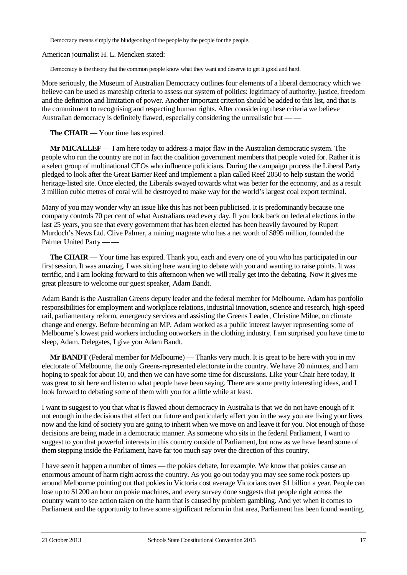Democracy means simply the bludgeoning of the people by the people for the people.

American journalist H. L. Mencken stated:

Democracy is the theory that the common people know what they want and deserve to get it good and hard.

More seriously, the Museum of Australian Democracy outlines four elements of a liberal democracy which we believe can be used as mateship criteria to assess our system of politics: legitimacy of authority, justice, freedom and the definition and limitation of power. Another important criterion should be added to this list, and that is the commitment to recognising and respecting human rights. After considering these criteria we believe Australian democracy is definitely flawed, especially considering the unrealistic but — —

**The CHAIR** — Your time has expired.

**Mr MICALLEF** — I am here today to address a major flaw in the Australian democratic system. The people who run the country are not in fact the coalition government members that people voted for. Rather it is a select group of multinational CEOs who influence politicians. During the campaign process the Liberal Party pledged to look after the Great Barrier Reef and implement a plan called Reef 2050 to help sustain the world heritage-listed site. Once elected, the Liberals swayed towards what was better for the economy, and as a result 3 million cubic metres of coral will be destroyed to make way for the world's largest coal export terminal.

Many of you may wonder why an issue like this has not been publicised. It is predominantly because one company controls 70 per cent of what Australians read every day. If you look back on federal elections in the last 25 years, you see that every government that has been elected has been heavily favoured by Rupert Murdoch's News Ltd. Clive Palmer, a mining magnate who has a net worth of \$895 million, founded the Palmer United Party — —

**The CHAIR** — Your time has expired. Thank you, each and every one of you who has participated in our first session. It was amazing. I was sitting here wanting to debate with you and wanting to raise points. It was terrific, and I am looking forward to this afternoon when we will really get into the debating. Now it gives me great pleasure to welcome our guest speaker, Adam Bandt.

Adam Bandt is the Australian Greens deputy leader and the federal member for Melbourne. Adam has portfolio responsibilities for employment and workplace relations, industrial innovation, science and research, high-speed rail, parliamentary reform, emergency services and assisting the Greens Leader, Christine Milne, on climate change and energy. Before becoming an MP, Adam worked as a public interest lawyer representing some of Melbourne's lowest paid workers including outworkers in the clothing industry. I am surprised you have time to sleep, Adam. Delegates, I give you Adam Bandt.

**Mr BANDT** (Federal member for Melbourne) — Thanks very much. It is great to be here with you in my electorate of Melbourne, the only Greens-represented electorate in the country. We have 20 minutes, and I am hoping to speak for about 10, and then we can have some time for discussions. Like your Chair here today, it was great to sit here and listen to what people have been saying. There are some pretty interesting ideas, and I look forward to debating some of them with you for a little while at least.

I want to suggest to you that what is flawed about democracy in Australia is that we do not have enough of it not enough in the decisions that affect our future and particularly affect you in the way you are living your lives now and the kind of society you are going to inherit when we move on and leave it for you. Not enough of those decisions are being made in a democratic manner. As someone who sits in the federal Parliament, I want to suggest to you that powerful interests in this country outside of Parliament, but now as we have heard some of them stepping inside the Parliament, have far too much say over the direction of this country.

I have seen it happen a number of times — the pokies debate, for example. We know that pokies cause an enormous amount of harm right across the country. As you go out today you may see some rock posters up around Melbourne pointing out that pokies in Victoria cost average Victorians over \$1 billion a year. People can lose up to \$1200 an hour on pokie machines, and every survey done suggests that people right across the country want to see action taken on the harm that is caused by problem gambling. And yet when it comes to Parliament and the opportunity to have some significant reform in that area, Parliament has been found wanting.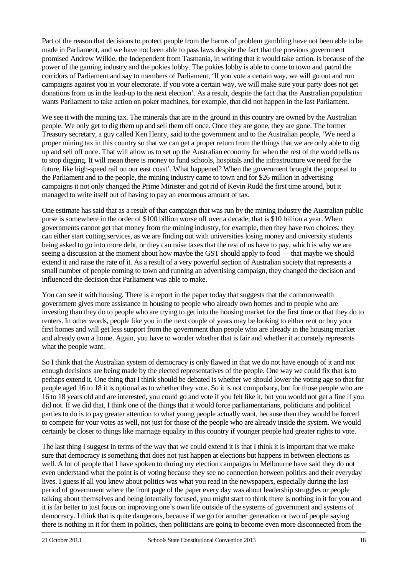Part of the reason that decisions to protect people from the harms of problem gambling have not been able to be made in Parliament, and we have not been able to pass laws despite the fact that the previous government promised Andrew Wilkie, the Independent from Tasmania, in writing that it would take action, is because of the power of the gaming industry and the pokies lobby. The pokies lobby is able to come to town and patrol the corridors of Parliament and say to members of Parliament, 'If you vote a certain way, we will go out and run campaigns against you in your electorate. If you vote a certain way, we will make sure your party does not get donations from us in the lead-up to the next election'. As a result, despite the fact that the Australian population wants Parliament to take action on poker machines, for example, that did not happen in the last Parliament.

We see it with the mining tax. The minerals that are in the ground in this country are owned by the Australian people. We only get to dig them up and sell them off once. Once they are gone, they are gone. The former Treasury secretary, a guy called Ken Henry, said to the government and to the Australian people, 'We need a proper mining tax in this country so that we can get a proper return from the things that we are only able to dig up and sell off once. That will allow us to set up the Australian economy for when the rest of the world tells us to stop digging. It will mean there is money to fund schools, hospitals and the infrastructure we need for the future, like high-speed rail on our east coast'. What happened? When the government brought the proposal to the Parliament and to the people, the mining industry came to town and for \$26 million in advertising campaigns it not only changed the Prime Minister and got rid of Kevin Rudd the first time around, but it managed to write itself out of having to pay an enormous amount of tax.

One estimate has said that as a result of that campaign that was run by the mining industry the Australian public purse is somewhere in the order of \$100 billion worse off over a decade; that is \$10 billion a year. When governments cannot get that money from the mining industry, for example, then they have two choices: they can either start cutting services, as we are finding out with universities losing money and university students being asked to go into more debt, or they can raise taxes that the rest of us have to pay, which is why we are seeing a discussion at the moment about how maybe the GST should apply to food — that maybe we should extend it and raise the rate of it. As a result of a very powerful section of Australian society that represents a small number of people coming to town and running an advertising campaign, they changed the decision and influenced the decision that Parliament was able to make.

You can see it with housing. There is a report in the paper today that suggests that the commonwealth government gives more assistance in housing to people who already own homes and to people who are investing than they do to people who are trying to get into the housing market for the first time or that they do to renters. In other words, people like you in the next couple of years may be looking to either rent or buy your first homes and will get less support from the government than people who are already in the housing market and already own a home. Again, you have to wonder whether that is fair and whether it accurately represents what the people want.

So I think that the Australian system of democracy is only flawed in that we do not have enough of it and not enough decisions are being made by the elected representatives of the people. One way we could fix that is to perhaps extend it. One thing that I think should be debated is whether we should lower the voting age so that for people aged 16 to 18 it is optional as to whether they vote. So it is not compulsory, but for those people who are 16 to 18 years old and are interested, you could go and vote if you felt like it, but you would not get a fine if you did not. If we did that, I think one of the things that it would force parliamentarians, politicians and political parties to do is to pay greater attention to what young people actually want, because then they would be forced to compete for your votes as well, not just for those of the people who are already inside the system. We would certainly be closer to things like marriage equality in this country if younger people had greater rights to vote.

The last thing I suggest in terms of the way that we could extend it is that I think it is important that we make sure that democracy is something that does not just happen at elections but happens in between elections as well. A lot of people that I have spoken to during my election campaigns in Melbourne have said they do not even understand what the point is of voting because they see no connection between politics and their everyday lives. I guess if all you knew about politics was what you read in the newspapers, especially during the last period of government where the front page of the paper every day was about leadership struggles or people talking about themselves and being internally focused, you might start to think there is nothing in it for you and it is far better to just focus on improving one's own life outside of the systems of government and systems of democracy. I think that is quite dangerous, because if we go for another generation or two of people saying there is nothing in it for them in politics, then politicians are going to become even more disconnected from the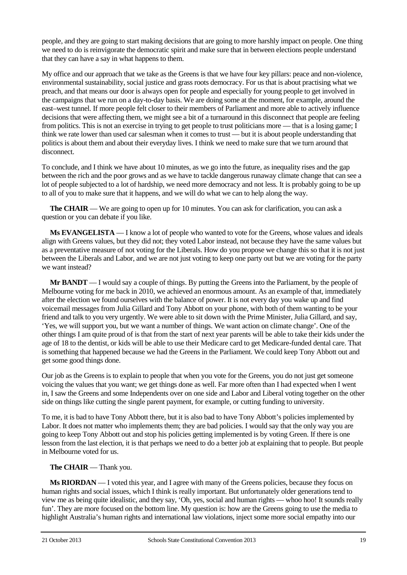people, and they are going to start making decisions that are going to more harshly impact on people. One thing we need to do is reinvigorate the democratic spirit and make sure that in between elections people understand that they can have a say in what happens to them.

My office and our approach that we take as the Greens is that we have four key pillars: peace and non-violence, environmental sustainability, social justice and grass roots democracy. For us that is about practising what we preach, and that means our door is always open for people and especially for young people to get involved in the campaigns that we run on a day-to-day basis. We are doing some at the moment, for example, around the east–west tunnel. If more people felt closer to their members of Parliament and more able to actively influence decisions that were affecting them, we might see a bit of a turnaround in this disconnect that people are feeling from politics. This is not an exercise in trying to get people to trust politicians more — that is a losing game; I think we rate lower than used car salesman when it comes to trust — but it is about people understanding that politics is about them and about their everyday lives. I think we need to make sure that we turn around that disconnect.

To conclude, and I think we have about 10 minutes, as we go into the future, as inequality rises and the gap between the rich and the poor grows and as we have to tackle dangerous runaway climate change that can see a lot of people subjected to a lot of hardship, we need more democracy and not less. It is probably going to be up to all of you to make sure that it happens, and we will do what we can to help along the way.

**The CHAIR** — We are going to open up for 10 minutes. You can ask for clarification, you can ask a question or you can debate if you like.

**Ms EVANGELISTA** — I know a lot of people who wanted to vote for the Greens, whose values and ideals align with Greens values, but they did not; they voted Labor instead, not because they have the same values but as a preventative measure of not voting for the Liberals. How do you propose we change this so that it is not just between the Liberals and Labor, and we are not just voting to keep one party out but we are voting for the party we want instead?

**Mr BANDT** — I would say a couple of things. By putting the Greens into the Parliament, by the people of Melbourne voting for me back in 2010, we achieved an enormous amount. As an example of that, immediately after the election we found ourselves with the balance of power. It is not every day you wake up and find voicemail messages from Julia Gillard and Tony Abbott on your phone, with both of them wanting to be your friend and talk to you very urgently. We were able to sit down with the Prime Minister, Julia Gillard, and say, 'Yes, we will support you, but we want a number of things. We want action on climate change'. One of the other things I am quite proud of is that from the start of next year parents will be able to take their kids under the age of 18 to the dentist, or kids will be able to use their Medicare card to get Medicare-funded dental care. That is something that happened because we had the Greens in the Parliament. We could keep Tony Abbott out and get some good things done.

Our job as the Greens is to explain to people that when you vote for the Greens, you do not just get someone voicing the values that you want; we get things done as well. Far more often than I had expected when I went in, I saw the Greens and some Independents over on one side and Labor and Liberal voting together on the other side on things like cutting the single parent payment, for example, or cutting funding to university.

To me, it is bad to have Tony Abbott there, but it is also bad to have Tony Abbott's policies implemented by Labor. It does not matter who implements them; they are bad policies. I would say that the only way you are going to keep Tony Abbott out and stop his policies getting implemented is by voting Green. If there is one lesson from the last election, it is that perhaps we need to do a better job at explaining that to people. But people in Melbourne voted for us.

# **The CHAIR** — Thank you.

**Ms RIORDAN** — I voted this year, and I agree with many of the Greens policies, because they focus on human rights and social issues, which I think is really important. But unfortunately older generations tend to view me as being quite idealistic, and they say, 'Oh, yes, social and human rights — whoo hoo! It sounds really fun'. They are more focused on the bottom line. My question is: how are the Greens going to use the media to highlight Australia's human rights and international law violations, inject some more social empathy into our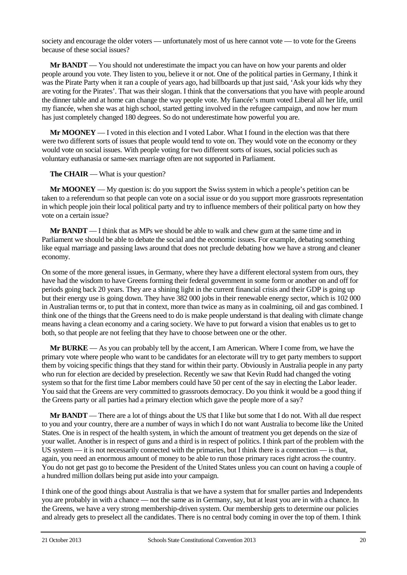society and encourage the older voters — unfortunately most of us here cannot vote — to vote for the Greens because of these social issues?

**Mr BANDT** — You should not underestimate the impact you can have on how your parents and older people around you vote. They listen to you, believe it or not. One of the political parties in Germany, I think it was the Pirate Party when it ran a couple of years ago, had billboards up that just said, 'Ask your kids why they are voting for the Pirates'. That was their slogan. I think that the conversations that you have with people around the dinner table and at home can change the way people vote. My fiancée's mum voted Liberal all her life, until my fiancée, when she was at high school, started getting involved in the refugee campaign, and now her mum has just completely changed 180 degrees. So do not underestimate how powerful you are.

**Mr MOONEY** — I voted in this election and I voted Labor. What I found in the election was that there were two different sorts of issues that people would tend to vote on. They would vote on the economy or they would vote on social issues. With people voting for two different sorts of issues, social policies such as voluntary euthanasia or same-sex marriage often are not supported in Parliament.

**The CHAIR** — What is your question?

**Mr MOONEY** — My question is: do you support the Swiss system in which a people's petition can be taken to a referendum so that people can vote on a social issue or do you support more grassroots representation in which people join their local political party and try to influence members of their political party on how they vote on a certain issue?

**Mr BANDT** — I think that as MPs we should be able to walk and chew gum at the same time and in Parliament we should be able to debate the social and the economic issues. For example, debating something like equal marriage and passing laws around that does not preclude debating how we have a strong and cleaner economy.

On some of the more general issues, in Germany, where they have a different electoral system from ours, they have had the wisdom to have Greens forming their federal government in some form or another on and off for periods going back 20 years. They are a shining light in the current financial crisis and their GDP is going up but their energy use is going down. They have 382 000 jobs in their renewable energy sector, which is 102 000 in Australian terms or, to put that in context, more than twice as many as in coalmining, oil and gas combined. I think one of the things that the Greens need to do is make people understand is that dealing with climate change means having a clean economy and a caring society. We have to put forward a vision that enables us to get to both, so that people are not feeling that they have to choose between one or the other.

**Mr BURKE** — As you can probably tell by the accent, I am American. Where I come from, we have the primary vote where people who want to be candidates for an electorate will try to get party members to support them by voicing specific things that they stand for within their party. Obviously in Australia people in any party who run for election are decided by preselection. Recently we saw that Kevin Rudd had changed the voting system so that for the first time Labor members could have 50 per cent of the say in electing the Labor leader. You said that the Greens are very committed to grassroots democracy. Do you think it would be a good thing if the Greens party or all parties had a primary election which gave the people more of a say?

**Mr BANDT** — There are a lot of things about the US that I like but some that I do not. With all due respect to you and your country, there are a number of ways in which I do not want Australia to become like the United States. One is in respect of the health system, in which the amount of treatment you get depends on the size of your wallet. Another is in respect of guns and a third is in respect of politics. I think part of the problem with the US system — it is not necessarily connected with the primaries, but I think there is a connection — is that, again, you need an enormous amount of money to be able to run those primary races right across the country. You do not get past go to become the President of the United States unless you can count on having a couple of a hundred million dollars being put aside into your campaign.

I think one of the good things about Australia is that we have a system that for smaller parties and Independents you are probably in with a chance — not the same as in Germany, say, but at least you are in with a chance. In the Greens, we have a very strong membership-driven system. Our membership gets to determine our policies and already gets to preselect all the candidates. There is no central body coming in over the top of them. I think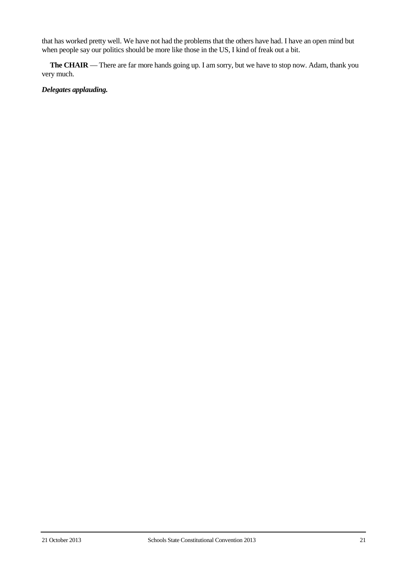that has worked pretty well. We have not had the problems that the others have had. I have an open mind but when people say our politics should be more like those in the US, I kind of freak out a bit.

**The CHAIR** — There are far more hands going up. I am sorry, but we have to stop now. Adam, thank you very much.

# *Delegates applauding.*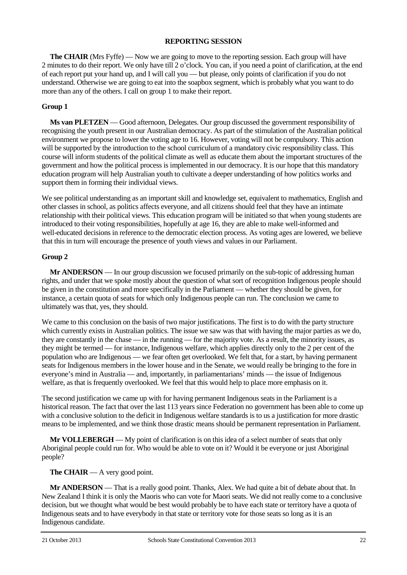## **REPORTING SESSION**

**The CHAIR** (Mrs Fyffe) — Now we are going to move to the reporting session. Each group will have 2 minutes to do their report. We only have till 2 o'clock. You can, if you need a point of clarification, at the end of each report put your hand up, and I will call you — but please, only points of clarification if you do not understand. Otherwise we are going to eat into the soapbox segment, which is probably what you want to do more than any of the others. I call on group 1 to make their report.

# **Group 1**

**Ms van PLETZEN** — Good afternoon, Delegates. Our group discussed the government responsibility of recognising the youth present in our Australian democracy. As part of the stimulation of the Australian political environment we propose to lower the voting age to 16. However, voting will not be compulsory. This action will be supported by the introduction to the school curriculum of a mandatory civic responsibility class. This course will inform students of the political climate as well as educate them about the important structures of the government and how the political process is implemented in our democracy. It is our hope that this mandatory education program will help Australian youth to cultivate a deeper understanding of how politics works and support them in forming their individual views.

We see political understanding as an important skill and knowledge set, equivalent to mathematics, English and other classes in school, as politics affects everyone, and all citizens should feel that they have an intimate relationship with their political views. This education program will be initiated so that when young students are introduced to their voting responsibilities, hopefully at age 16, they are able to make well-informed and well-educated decisions in reference to the democratic election process. As voting ages are lowered, we believe that this in turn will encourage the presence of youth views and values in our Parliament.

# **Group 2**

**Mr ANDERSON** — In our group discussion we focused primarily on the sub-topic of addressing human rights, and under that we spoke mostly about the question of what sort of recognition Indigenous people should be given in the constitution and more specifically in the Parliament — whether they should be given, for instance, a certain quota of seats for which only Indigenous people can run. The conclusion we came to ultimately was that, yes, they should.

We came to this conclusion on the basis of two major justifications. The first is to do with the party structure which currently exists in Australian politics. The issue we saw was that with having the major parties as we do, they are constantly in the chase — in the running — for the majority vote. As a result, the minority issues, as they might be termed — for instance, Indigenous welfare, which applies directly only to the 2 per cent of the population who are Indigenous — we fear often get overlooked. We felt that, for a start, by having permanent seats for Indigenous members in the lower house and in the Senate, we would really be bringing to the fore in everyone's mind in Australia — and, importantly, in parliamentarians' minds — the issue of Indigenous welfare, as that is frequently overlooked. We feel that this would help to place more emphasis on it.

The second justification we came up with for having permanent Indigenous seats in the Parliament is a historical reason. The fact that over the last 113 years since Federation no government has been able to come up with a conclusive solution to the deficit in Indigenous welfare standards is to us a justification for more drastic means to be implemented, and we think those drastic means should be permanent representation in Parliament.

**Mr VOLLEBERGH** — My point of clarification is on this idea of a select number of seats that only Aboriginal people could run for. Who would be able to vote on it? Would it be everyone or just Aboriginal people?

# **The CHAIR** — A very good point.

**Mr ANDERSON** — That is a really good point. Thanks, Alex. We had quite a bit of debate about that. In New Zealand I think it is only the Maoris who can vote for Maori seats. We did not really come to a conclusive decision, but we thought what would be best would probably be to have each state or territory have a quota of Indigenous seats and to have everybody in that state or territory vote for those seats so long as it is an Indigenous candidate.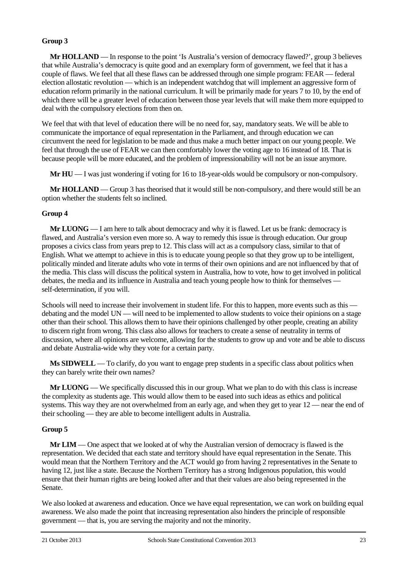# **Group 3**

**Mr HOLLAND** — In response to the point 'Is Australia's version of democracy flawed?', group 3 believes that while Australia's democracy is quite good and an exemplary form of government, we feel that it has a couple of flaws. We feel that all these flaws can be addressed through one simple program: FEAR — federal election allostatic revolution — which is an independent watchdog that will implement an aggressive form of education reform primarily in the national curriculum. It will be primarily made for years 7 to 10, by the end of which there will be a greater level of education between those year levels that will make them more equipped to deal with the compulsory elections from then on.

We feel that with that level of education there will be no need for, say, mandatory seats. We will be able to communicate the importance of equal representation in the Parliament, and through education we can circumvent the need for legislation to be made and thus make a much better impact on our young people. We feel that through the use of FEAR we can then comfortably lower the voting age to 16 instead of 18. That is because people will be more educated, and the problem of impressionability will not be an issue anymore.

**Mr HU** — I was just wondering if voting for 16 to 18-year-olds would be compulsory or non-compulsory.

**Mr HOLLAND** — Group 3 has theorised that it would still be non-compulsory, and there would still be an option whether the students felt so inclined.

# **Group 4**

**Mr LUONG** — I am here to talk about democracy and why it is flawed. Let us be frank: democracy is flawed, and Australia's version even more so. A way to remedy this issue is through education. Our group proposes a civics class from years prep to 12. This class will act as a compulsory class, similar to that of English. What we attempt to achieve in this is to educate young people so that they grow up to be intelligent, politically minded and literate adults who vote in terms of their own opinions and are not influenced by that of the media. This class will discuss the political system in Australia, how to vote, how to get involved in political debates, the media and its influence in Australia and teach young people how to think for themselves self-determination, if you will.

Schools will need to increase their involvement in student life. For this to happen, more events such as this debating and the model UN — will need to be implemented to allow students to voice their opinions on a stage other than their school. This allows them to have their opinions challenged by other people, creating an ability to discern right from wrong. This class also allows for teachers to create a sense of neutrality in terms of discussion, where all opinions are welcome, allowing for the students to grow up and vote and be able to discuss and debate Australia-wide why they vote for a certain party.

**Ms SIDWELL** — To clarify, do you want to engage prep students in a specific class about politics when they can barely write their own names?

**Mr LUONG** — We specifically discussed this in our group. What we plan to do with this class is increase the complexity as students age. This would allow them to be eased into such ideas as ethics and political systems. This way they are not overwhelmed from an early age, and when they get to year 12 — near the end of their schooling — they are able to become intelligent adults in Australia.

# **Group 5**

**Mr LIM** — One aspect that we looked at of why the Australian version of democracy is flawed is the representation. We decided that each state and territory should have equal representation in the Senate. This would mean that the Northern Territory and the ACT would go from having 2 representatives in the Senate to having 12, just like a state. Because the Northern Territory has a strong Indigenous population, this would ensure that their human rights are being looked after and that their values are also being represented in the Senate.

We also looked at awareness and education. Once we have equal representation, we can work on building equal awareness. We also made the point that increasing representation also hinders the principle of responsible government — that is, you are serving the majority and not the minority.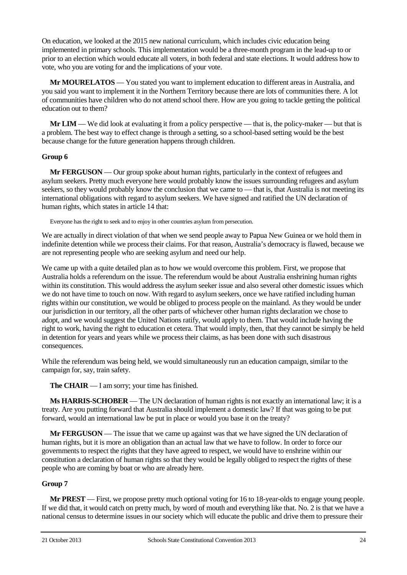On education, we looked at the 2015 new national curriculum, which includes civic education being implemented in primary schools. This implementation would be a three-month program in the lead-up to or prior to an election which would educate all voters, in both federal and state elections. It would address how to vote, who you are voting for and the implications of your vote.

**Mr MOURELATOS** — You stated you want to implement education to different areas in Australia, and you said you want to implement it in the Northern Territory because there are lots of communities there. A lot of communities have children who do not attend school there. How are you going to tackle getting the political education out to them?

**Mr LIM** — We did look at evaluating it from a policy perspective — that is, the policy-maker — but that is a problem. The best way to effect change is through a setting, so a school-based setting would be the best because change for the future generation happens through children.

# **Group 6**

**Mr FERGUSON** — Our group spoke about human rights, particularly in the context of refugees and asylum seekers. Pretty much everyone here would probably know the issues surrounding refugees and asylum seekers, so they would probably know the conclusion that we came to — that is, that Australia is not meeting its international obligations with regard to asylum seekers. We have signed and ratified the UN declaration of human rights, which states in article 14 that:

Everyone has the right to seek and to enjoy in other countries asylum from persecution.

We are actually in direct violation of that when we send people away to Papua New Guinea or we hold them in indefinite detention while we process their claims. For that reason, Australia's democracy is flawed, because we are not representing people who are seeking asylum and need our help.

We came up with a quite detailed plan as to how we would overcome this problem. First, we propose that Australia holds a referendum on the issue. The referendum would be about Australia enshrining human rights within its constitution. This would address the asylum seeker issue and also several other domestic issues which we do not have time to touch on now. With regard to asylum seekers, once we have ratified including human rights within our constitution, we would be obliged to process people on the mainland. As they would be under our jurisdiction in our territory, all the other parts of whichever other human rights declaration we chose to adopt, and we would suggest the United Nations ratify, would apply to them. That would include having the right to work, having the right to education et cetera. That would imply, then, that they cannot be simply be held in detention for years and years while we process their claims, as has been done with such disastrous consequences.

While the referendum was being held, we would simultaneously run an education campaign, similar to the campaign for, say, train safety.

**The CHAIR** — I am sorry; your time has finished.

**Ms HARRIS-SCHOBER** — The UN declaration of human rights is not exactly an international law; it is a treaty. Are you putting forward that Australia should implement a domestic law? If that was going to be put forward, would an international law be put in place or would you base it on the treaty?

**Mr FERGUSON** — The issue that we came up against was that we have signed the UN declaration of human rights, but it is more an obligation than an actual law that we have to follow. In order to force our governments to respect the rights that they have agreed to respect, we would have to enshrine within our constitution a declaration of human rights so that they would be legally obliged to respect the rights of these people who are coming by boat or who are already here.

# **Group 7**

**Mr PREST** — First, we propose pretty much optional voting for 16 to 18-year-olds to engage young people. If we did that, it would catch on pretty much, by word of mouth and everything like that. No. 2 is that we have a national census to determine issues in our society which will educate the public and drive them to pressure their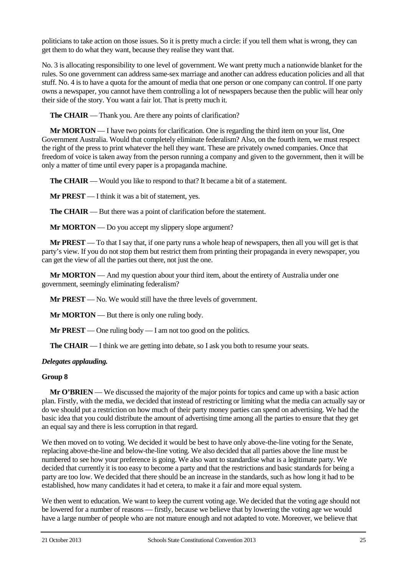politicians to take action on those issues. So it is pretty much a circle: if you tell them what is wrong, they can get them to do what they want, because they realise they want that.

No. 3 is allocating responsibility to one level of government. We want pretty much a nationwide blanket for the rules. So one government can address same-sex marriage and another can address education policies and all that stuff. No. 4 is to have a quota for the amount of media that one person or one company can control. If one party owns a newspaper, you cannot have them controlling a lot of newspapers because then the public will hear only their side of the story. You want a fair lot. That is pretty much it.

**The CHAIR** — Thank you. Are there any points of clarification?

**Mr MORTON** — I have two points for clarification. One is regarding the third item on your list, One Government Australia. Would that completely eliminate federalism? Also, on the fourth item, we must respect the right of the press to print whatever the hell they want. These are privately owned companies. Once that freedom of voice is taken away from the person running a company and given to the government, then it will be only a matter of time until every paper is a propaganda machine.

**The CHAIR** — Would you like to respond to that? It became a bit of a statement.

**Mr PREST** — I think it was a bit of statement, yes.

**The CHAIR** — But there was a point of clarification before the statement.

**Mr MORTON** — Do you accept my slippery slope argument?

**Mr PREST** — To that I say that, if one party runs a whole heap of newspapers, then all you will get is that party's view. If you do not stop them but restrict them from printing their propaganda in every newspaper, you can get the view of all the parties out there, not just the one.

**Mr MORTON** — And my question about your third item, about the entirety of Australia under one government, seemingly eliminating federalism?

**Mr PREST** — No. We would still have the three levels of government.

**Mr MORTON** — But there is only one ruling body.

**Mr PREST** — One ruling body — I am not too good on the politics.

**The CHAIR** — I think we are getting into debate, so I ask you both to resume your seats.

## *Delegates applauding.*

## **Group 8**

**Mr O'BRIEN** — We discussed the majority of the major points for topics and came up with a basic action plan. Firstly, with the media, we decided that instead of restricting or limiting what the media can actually say or do we should put a restriction on how much of their party money parties can spend on advertising. We had the basic idea that you could distribute the amount of advertising time among all the parties to ensure that they get an equal say and there is less corruption in that regard.

We then moved on to voting. We decided it would be best to have only above-the-line voting for the Senate, replacing above-the-line and below-the-line voting. We also decided that all parties above the line must be numbered to see how your preference is going. We also want to standardise what is a legitimate party. We decided that currently it is too easy to become a party and that the restrictions and basic standards for being a party are too low. We decided that there should be an increase in the standards, such as how long it had to be established, how many candidates it had et cetera, to make it a fair and more equal system.

We then went to education. We want to keep the current voting age. We decided that the voting age should not be lowered for a number of reasons — firstly, because we believe that by lowering the voting age we would have a large number of people who are not mature enough and not adapted to vote. Moreover, we believe that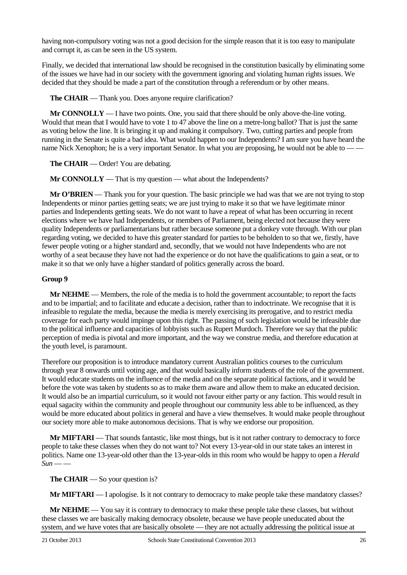having non-compulsory voting was not a good decision for the simple reason that it is too easy to manipulate and corrupt it, as can be seen in the US system.

Finally, we decided that international law should be recognised in the constitution basically by eliminating some of the issues we have had in our society with the government ignoring and violating human rights issues. We decided that they should be made a part of the constitution through a referendum or by other means.

**The CHAIR** — Thank you. Does anyone require clarification?

**Mr CONNOLLY** — I have two points. One, you said that there should be only above-the-line voting. Would that mean that I would have to vote 1 to 47 above the line on a metre-long ballot? That is just the same as voting below the line. It is bringing it up and making it compulsory. Two, cutting parties and people from running in the Senate is quite a bad idea. What would happen to our Independents? I am sure you have heard the name Nick Xenophon; he is a very important Senator. In what you are proposing, he would not be able to — —

**The CHAIR** — Order! You are debating.

**Mr CONNOLLY** — That is my question — what about the Independents?

**Mr O'BRIEN** — Thank you for your question. The basic principle we had was that we are not trying to stop Independents or minor parties getting seats; we are just trying to make it so that we have legitimate minor parties and Independents getting seats. We do not want to have a repeat of what has been occurring in recent elections where we have had Independents, or members of Parliament, being elected not because they were quality Independents or parliamentarians but rather because someone put a donkey vote through. With our plan regarding voting, we decided to have this greater standard for parties to be beholden to so that we, firstly, have fewer people voting or a higher standard and, secondly, that we would not have Independents who are not worthy of a seat because they have not had the experience or do not have the qualifications to gain a seat, or to make it so that we only have a higher standard of politics generally across the board.

## **Group 9**

**Mr NEHME** — Members, the role of the media is to hold the government accountable; to report the facts and to be impartial; and to facilitate and educate a decision, rather than to indoctrinate. We recognise that it is infeasible to regulate the media, because the media is merely exercising its prerogative, and to restrict media coverage for each party would impinge upon this right. The passing of such legislation would be infeasible due to the political influence and capacities of lobbyists such as Rupert Murdoch. Therefore we say that the public perception of media is pivotal and more important, and the way we construe media, and therefore education at the youth level, is paramount.

Therefore our proposition is to introduce mandatory current Australian politics courses to the curriculum through year 8 onwards until voting age, and that would basically inform students of the role of the government. It would educate students on the influence of the media and on the separate political factions, and it would be before the vote was taken by students so as to make them aware and allow them to make an educated decision. It would also be an impartial curriculum, so it would not favour either party or any faction. This would result in equal sagacity within the community and people throughout our community less able to be influenced, as they would be more educated about politics in general and have a view themselves. It would make people throughout our society more able to make autonomous decisions. That is why we endorse our proposition.

**Mr MIFTARI** — That sounds fantastic, like most things, but is it not rather contrary to democracy to force people to take these classes when they do not want to? Not every 13-year-old in our state takes an interest in politics. Name one 13-year-old other than the 13-year-olds in this room who would be happy to open a *Herald*   $Sum \rightarrow$ 

**The CHAIR** — So your question is?

**Mr MIFTARI** — I apologise. Is it not contrary to democracy to make people take these mandatory classes?

**Mr NEHME** — You say it is contrary to democracy to make these people take these classes, but without these classes we are basically making democracy obsolete, because we have people uneducated about the system, and we have votes that are basically obsolete — they are not actually addressing the political issue at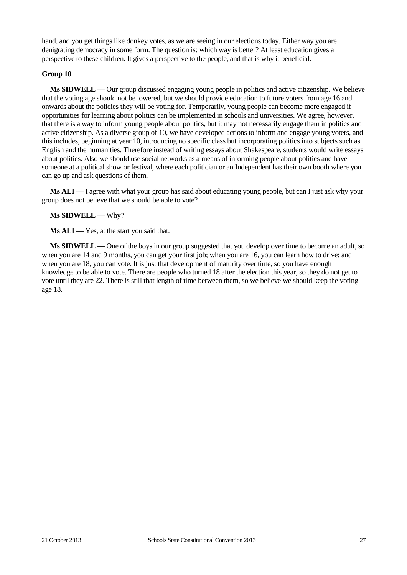hand, and you get things like donkey votes, as we are seeing in our elections today. Either way you are denigrating democracy in some form. The question is: which way is better? At least education gives a perspective to these children. It gives a perspective to the people, and that is why it beneficial.

# **Group 10**

**Ms SIDWELL** — Our group discussed engaging young people in politics and active citizenship. We believe that the voting age should not be lowered, but we should provide education to future voters from age 16 and onwards about the policies they will be voting for. Temporarily, young people can become more engaged if opportunities for learning about politics can be implemented in schools and universities. We agree, however, that there is a way to inform young people about politics, but it may not necessarily engage them in politics and active citizenship. As a diverse group of 10, we have developed actions to inform and engage young voters, and this includes, beginning at year 10, introducing no specific class but incorporating politics into subjects such as English and the humanities. Therefore instead of writing essays about Shakespeare, students would write essays about politics. Also we should use social networks as a means of informing people about politics and have someone at a political show or festival, where each politician or an Independent has their own booth where you can go up and ask questions of them.

**Ms ALI** — I agree with what your group has said about educating young people, but can I just ask why your group does not believe that we should be able to vote?

## **Ms SIDWELL** — Why?

**Ms ALI** — Yes, at the start you said that.

**Ms SIDWELL** — One of the boys in our group suggested that you develop over time to become an adult, so when you are 14 and 9 months, you can get your first job; when you are 16, you can learn how to drive; and when you are 18, you can vote. It is just that development of maturity over time, so you have enough knowledge to be able to vote. There are people who turned 18 after the election this year, so they do not get to vote until they are 22. There is still that length of time between them, so we believe we should keep the voting age 18.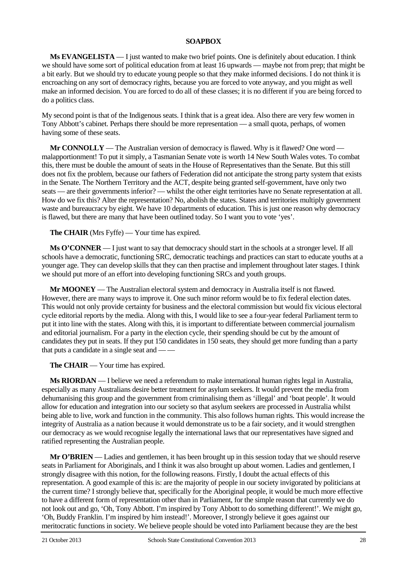## **SOAPBOX**

**Ms EVANGELISTA** — I just wanted to make two brief points. One is definitely about education. I think we should have some sort of political education from at least 16 upwards — maybe not from prep; that might be a bit early. But we should try to educate young people so that they make informed decisions. I do not think it is encroaching on any sort of democracy rights, because you are forced to vote anyway, and you might as well make an informed decision. You are forced to do all of these classes; it is no different if you are being forced to do a politics class.

My second point is that of the Indigenous seats. I think that is a great idea. Also there are very few women in Tony Abbott's cabinet. Perhaps there should be more representation — a small quota, perhaps, of women having some of these seats.

**Mr CONNOLLY** — The Australian version of democracy is flawed. Why is it flawed? One word malapportionment! To put it simply, a Tasmanian Senate vote is worth 14 New South Wales votes. To combat this, there must be double the amount of seats in the House of Representatives than the Senate. But this still does not fix the problem, because our fathers of Federation did not anticipate the strong party system that exists in the Senate. The Northern Territory and the ACT, despite being granted self-government, have only two seats — are their governments inferior? — whilst the other eight territories have no Senate representation at all. How do we fix this? Alter the representation? No, abolish the states. States and territories multiply government waste and bureaucracy by eight. We have 10 departments of education. This is just one reason why democracy is flawed, but there are many that have been outlined today. So I want you to vote 'yes'.

**The CHAIR** (Mrs Fyffe) — Your time has expired.

**Ms O'CONNER** — I just want to say that democracy should start in the schools at a stronger level. If all schools have a democratic, functioning SRC, democratic teachings and practices can start to educate youths at a younger age. They can develop skills that they can then practise and implement throughout later stages. I think we should put more of an effort into developing functioning SRCs and youth groups.

**Mr MOONEY** — The Australian electoral system and democracy in Australia itself is not flawed. However, there are many ways to improve it. One such minor reform would be to fix federal election dates. This would not only provide certainty for business and the electoral commission but would fix vicious electoral cycle editorial reports by the media. Along with this, I would like to see a four-year federal Parliament term to put it into line with the states. Along with this, it is important to differentiate between commercial journalism and editorial journalism. For a party in the election cycle, their spending should be cut by the amount of candidates they put in seats. If they put 150 candidates in 150 seats, they should get more funding than a party that puts a candidate in a single seat and — —

**The CHAIR** — Your time has expired.

**Ms RIORDAN** — I believe we need a referendum to make international human rights legal in Australia, especially as many Australians desire better treatment for asylum seekers. It would prevent the media from dehumanising this group and the government from criminalising them as 'illegal' and 'boat people'. It would allow for education and integration into our society so that asylum seekers are processed in Australia whilst being able to live, work and function in the community. This also follows human rights. This would increase the integrity of Australia as a nation because it would demonstrate us to be a fair society, and it would strengthen our democracy as we would recognise legally the international laws that our representatives have signed and ratified representing the Australian people.

**Mr O'BRIEN** — Ladies and gentlemen, it has been brought up in this session today that we should reserve seats in Parliament for Aboriginals, and I think it was also brought up about women. Ladies and gentlemen, I strongly disagree with this notion, for the following reasons. Firstly, I doubt the actual effects of this representation. A good example of this is: are the majority of people in our society invigorated by politicians at the current time? I strongly believe that, specifically for the Aboriginal people, it would be much more effective to have a different form of representation other than in Parliament, for the simple reason that currently we do not look out and go, 'Oh, Tony Abbott. I'm inspired by Tony Abbott to do something different!'. We might go, 'Oh, Buddy Franklin. I'm inspired by him instead!'. Moreover, I strongly believe it goes against our meritocratic functions in society. We believe people should be voted into Parliament because they are the best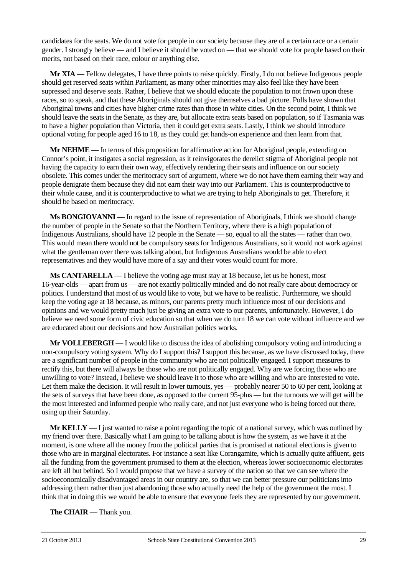candidates for the seats. We do not vote for people in our society because they are of a certain race or a certain gender. I strongly believe — and I believe it should be voted on — that we should vote for people based on their merits, not based on their race, colour or anything else.

**Mr XIA** — Fellow delegates, I have three points to raise quickly. Firstly, I do not believe Indigenous people should get reserved seats within Parliament, as many other minorities may also feel like they have been supressed and deserve seats. Rather, I believe that we should educate the population to not frown upon these races, so to speak, and that these Aboriginals should not give themselves a bad picture. Polls have shown that Aboriginal towns and cities have higher crime rates than those in white cities. On the second point, I think we should leave the seats in the Senate, as they are, but allocate extra seats based on population, so if Tasmania was to have a higher population than Victoria, then it could get extra seats. Lastly, I think we should introduce optional voting for people aged 16 to 18, as they could get hands-on experience and then learn from that.

**Mr NEHME** — In terms of this proposition for affirmative action for Aboriginal people, extending on Connor's point, it instigates a social regression, as it reinvigorates the derelict stigma of Aboriginal people not having the capacity to earn their own way, effectively rendering their seats and influence on our society obsolete. This comes under the meritocracy sort of argument, where we do not have them earning their way and people denigrate them because they did not earn their way into our Parliament. This is counterproductive to their whole cause, and it is counterproductive to what we are trying to help Aboriginals to get. Therefore, it should be based on meritocracy.

**Ms BONGIOVANNI** — In regard to the issue of representation of Aboriginals, I think we should change the number of people in the Senate so that the Northern Territory, where there is a high population of Indigenous Australians, should have 12 people in the Senate — so, equal to all the states — rather than two. This would mean there would not be compulsory seats for Indigenous Australians, so it would not work against what the gentleman over there was talking about, but Indigenous Australians would be able to elect representatives and they would have more of a say and their votes would count for more.

**Ms CANTARELLA** — I believe the voting age must stay at 18 because, let us be honest, most 16-year-olds — apart from us — are not exactly politically minded and do not really care about democracy or politics. I understand that most of us would like to vote, but we have to be realistic. Furthermore, we should keep the voting age at 18 because, as minors, our parents pretty much influence most of our decisions and opinions and we would pretty much just be giving an extra vote to our parents, unfortunately. However, I do believe we need some form of civic education so that when we do turn 18 we can vote without influence and we are educated about our decisions and how Australian politics works.

**Mr VOLLEBERGH** — I would like to discuss the idea of abolishing compulsory voting and introducing a non-compulsory voting system. Why do I support this? I support this because, as we have discussed today, there are a significant number of people in the community who are not politically engaged. I support measures to rectify this, but there will always be those who are not politically engaged. Why are we forcing those who are unwilling to vote? Instead, I believe we should leave it to those who are willing and who are interested to vote. Let them make the decision. It will result in lower turnouts, yes — probably nearer 50 to 60 per cent, looking at the sets of surveys that have been done, as opposed to the current 95-plus — but the turnouts we will get will be the most interested and informed people who really care, and not just everyone who is being forced out there, using up their Saturday.

**Mr KELLY** — I just wanted to raise a point regarding the topic of a national survey, which was outlined by my friend over there. Basically what I am going to be talking about is how the system, as we have it at the moment, is one where all the money from the political parties that is promised at national elections is given to those who are in marginal electorates. For instance a seat like Corangamite, which is actually quite affluent, gets all the funding from the government promised to them at the election, whereas lower socioeconomic electorates are left all but behind. So I would propose that we have a survey of the nation so that we can see where the socioeconomically disadvantaged areas in our country are, so that we can better pressure our politicians into addressing them rather than just abandoning those who actually need the help of the government the most. I think that in doing this we would be able to ensure that everyone feels they are represented by our government.

**The CHAIR** — Thank you.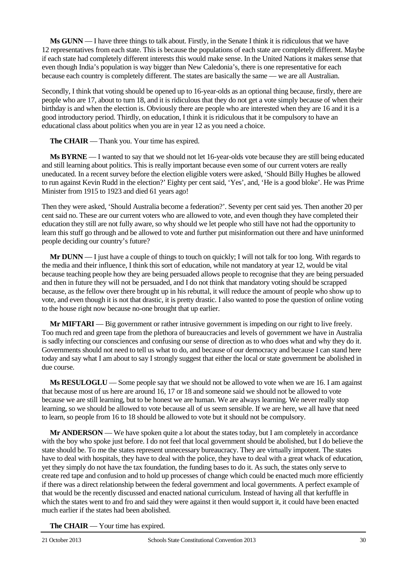**Ms GUNN** — I have three things to talk about. Firstly, in the Senate I think it is ridiculous that we have 12 representatives from each state. This is because the populations of each state are completely different. Maybe if each state had completely different interests this would make sense. In the United Nations it makes sense that even though India's population is way bigger than New Caledonia's, there is one representative for each because each country is completely different. The states are basically the same — we are all Australian.

Secondly, I think that voting should be opened up to 16-year-olds as an optional thing because, firstly, there are people who are 17, about to turn 18, and it is ridiculous that they do not get a vote simply because of when their birthday is and when the election is. Obviously there are people who are interested when they are 16 and it is a good introductory period. Thirdly, on education, I think it is ridiculous that it be compulsory to have an educational class about politics when you are in year 12 as you need a choice.

**The CHAIR** — Thank you. Your time has expired.

**Ms BYRNE** — I wanted to say that we should not let 16-year-olds vote because they are still being educated and still learning about politics. This is really important because even some of our current voters are really uneducated. In a recent survey before the election eligible voters were asked, 'Should Billy Hughes be allowed to run against Kevin Rudd in the election?' Eighty per cent said, 'Yes', and, 'He is a good bloke'. He was Prime Minister from 1915 to 1923 and died 61 years ago!

Then they were asked, 'Should Australia become a federation?'. Seventy per cent said yes. Then another 20 per cent said no. These are our current voters who are allowed to vote, and even though they have completed their education they still are not fully aware, so why should we let people who still have not had the opportunity to learn this stuff go through and be allowed to vote and further put misinformation out there and have uninformed people deciding our country's future?

**Mr DUNN** — I just have a couple of things to touch on quickly; I will not talk for too long. With regards to the media and their influence, I think this sort of education, while not mandatory at year 12, would be vital because teaching people how they are being persuaded allows people to recognise that they are being persuaded and then in future they will not be persuaded, and I do not think that mandatory voting should be scrapped because, as the fellow over there brought up in his rebuttal, it will reduce the amount of people who show up to vote, and even though it is not that drastic, it is pretty drastic. I also wanted to pose the question of online voting to the house right now because no-one brought that up earlier.

**Mr MIFTARI** — Big government or rather intrusive government is impeding on our right to live freely. Too much red and green tape from the plethora of bureaucracies and levels of government we have in Australia is sadly infecting our consciences and confusing our sense of direction as to who does what and why they do it. Governments should not need to tell us what to do, and because of our democracy and because I can stand here today and say what I am about to say I strongly suggest that either the local or state government be abolished in due course.

**Ms RESULOGLU** — Some people say that we should not be allowed to vote when we are 16. I am against that because most of us here are around 16, 17 or 18 and someone said we should not be allowed to vote because we are still learning, but to be honest we are human. We are always learning. We never really stop learning, so we should be allowed to vote because all of us seem sensible. If we are here, we all have that need to learn, so people from 16 to 18 should be allowed to vote but it should not be compulsory.

**Mr ANDERSON** — We have spoken quite a lot about the states today, but I am completely in accordance with the boy who spoke just before. I do not feel that local government should be abolished, but I do believe the state should be. To me the states represent unnecessary bureaucracy. They are virtually impotent. The states have to deal with hospitals, they have to deal with the police, they have to deal with a great whack of education, yet they simply do not have the tax foundation, the funding bases to do it. As such, the states only serve to create red tape and confusion and to hold up processes of change which could be enacted much more efficiently if there was a direct relationship between the federal government and local governments. A perfect example of that would be the recently discussed and enacted national curriculum. Instead of having all that kerfuffle in which the states went to and fro and said they were against it then would support it, it could have been enacted much earlier if the states had been abolished.

**The CHAIR** — Your time has expired.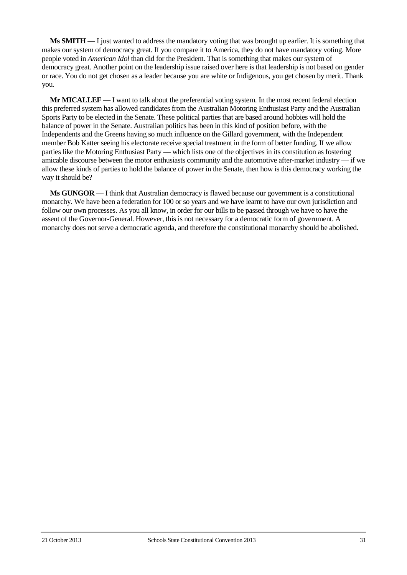**Ms SMITH** — I just wanted to address the mandatory voting that was brought up earlier. It is something that makes our system of democracy great. If you compare it to America, they do not have mandatory voting. More people voted in *American Idol* than did for the President. That is something that makes our system of democracy great. Another point on the leadership issue raised over here is that leadership is not based on gender or race. You do not get chosen as a leader because you are white or Indigenous, you get chosen by merit. Thank you.

**Mr MICALLEF** — I want to talk about the preferential voting system. In the most recent federal election this preferred system has allowed candidates from the Australian Motoring Enthusiast Party and the Australian Sports Party to be elected in the Senate. These political parties that are based around hobbies will hold the balance of power in the Senate. Australian politics has been in this kind of position before, with the Independents and the Greens having so much influence on the Gillard government, with the Independent member Bob Katter seeing his electorate receive special treatment in the form of better funding. If we allow parties like the Motoring Enthusiast Party — which lists one of the objectives in its constitution as fostering amicable discourse between the motor enthusiasts community and the automotive after-market industry — if we allow these kinds of parties to hold the balance of power in the Senate, then how is this democracy working the way it should be?

**Ms GUNGOR** — I think that Australian democracy is flawed because our government is a constitutional monarchy. We have been a federation for 100 or so years and we have learnt to have our own jurisdiction and follow our own processes. As you all know, in order for our bills to be passed through we have to have the assent of the Governor-General. However, this is not necessary for a democratic form of government. A monarchy does not serve a democratic agenda, and therefore the constitutional monarchy should be abolished.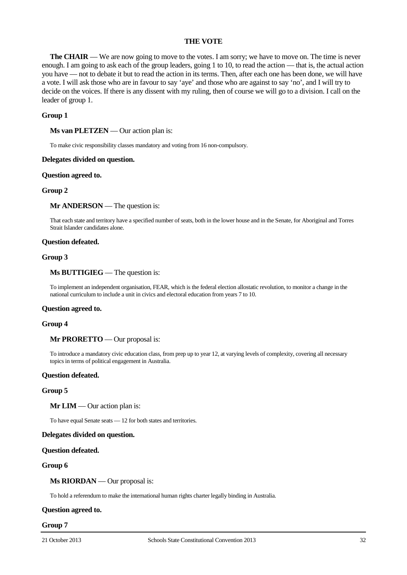## **THE VOTE**

**The CHAIR** — We are now going to move to the votes. I am sorry; we have to move on. The time is never enough. I am going to ask each of the group leaders, going 1 to 10, to read the action — that is, the actual action you have — not to debate it but to read the action in its terms. Then, after each one has been done, we will have a vote. I will ask those who are in favour to say 'aye' and those who are against to say 'no', and I will try to decide on the voices. If there is any dissent with my ruling, then of course we will go to a division. I call on the leader of group 1.

## **Group 1**

**Ms van PLETZEN** — Our action plan is:

To make civic responsibility classes mandatory and voting from 16 non-compulsory.

#### **Delegates divided on question.**

#### **Question agreed to.**

## **Group 2**

## **Mr ANDERSON** — The question is:

That each state and territory have a specified number of seats, both in the lower house and in the Senate, for Aboriginal and Torres Strait Islander candidates alone.

#### **Question defeated.**

## **Group 3**

#### **Ms BUTTIGIEG** — The question is:

To implement an independent organisation, FEAR, which is the federal election allostatic revolution, to monitor a change in the national curriculum to include a unit in civics and electoral education from years 7 to 10.

#### **Question agreed to.**

#### **Group 4**

## **Mr PRORETTO** — Our proposal is:

To introduce a mandatory civic education class, from prep up to year 12, at varying levels of complexity, covering all necessary topics in terms of political engagement in Australia.

#### **Question defeated.**

#### **Group 5**

## **Mr LIM** — Our action plan is:

To have equal Senate seats — 12 for both states and territories.

#### **Delegates divided on question.**

#### **Question defeated.**

## **Group 6**

### **Ms RIORDAN** — Our proposal is:

To hold a referendum to make the international human rights charter legally binding in Australia.

## **Question agreed to.**

#### **Group 7**